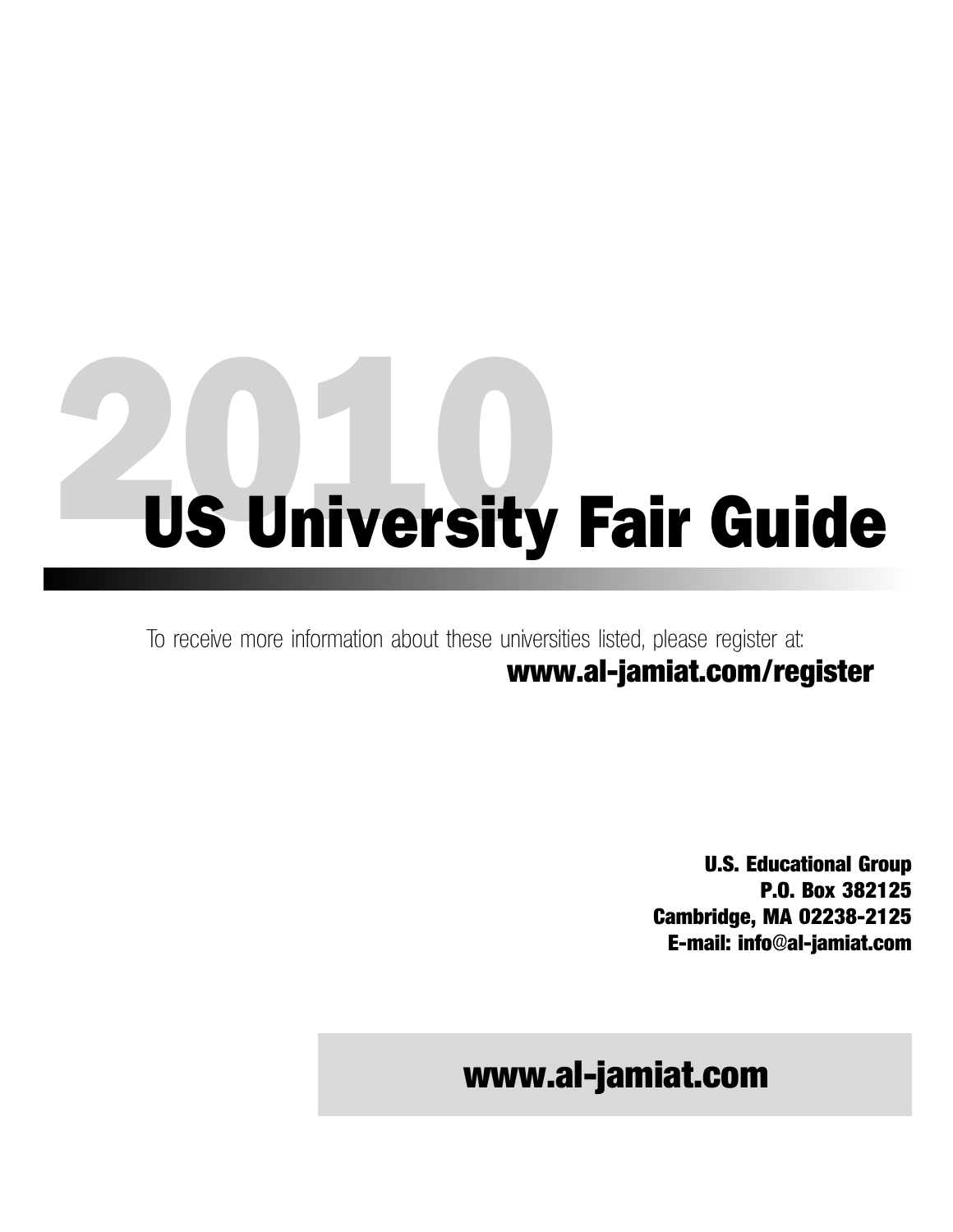To receive more information about these universities listed, please register at: **www.al-jamiat.com/register**

> **U.S. Educational Group P.O. Box 382125 Cambridge, MA 02238-2125 E-mail: info@al-jamiat.com**

### **www.al-jamiat.com**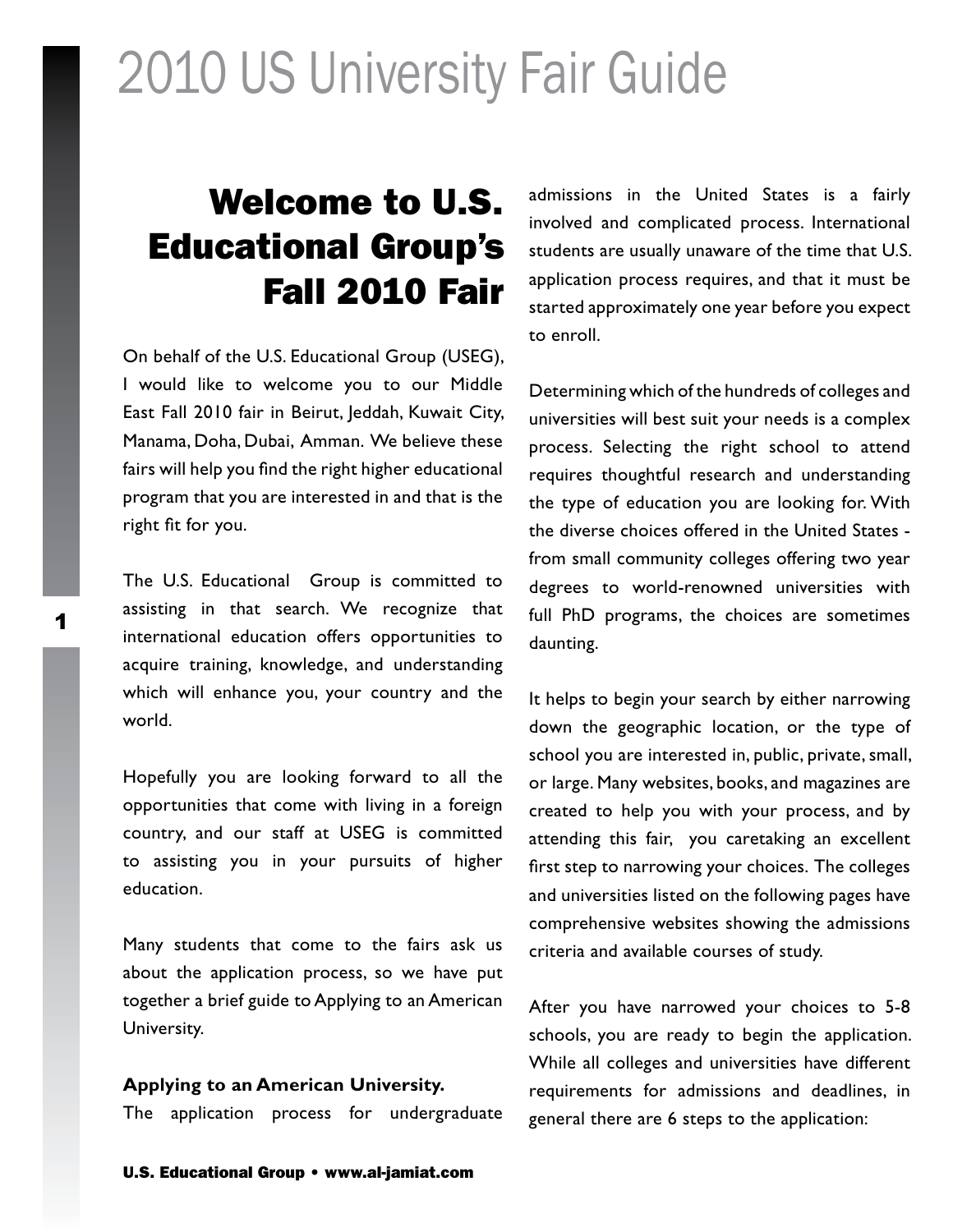### Welcome to U.S. Educational Group's Fall 2010 Fair

On behalf of the U.S. Educational Group (USEG), I would like to welcome you to our Middle East Fall 2010 fair in Beirut, Jeddah, Kuwait City, Manama, Doha, Dubai, Amman. We believe these fairs will help you find the right higher educational program that you are interested in and that is the right fit for you.

The U.S. Educational Group is committed to assisting in that search. We recognize that international education offers opportunities to acquire training, knowledge, and understanding which will enhance you, your country and the world.

Hopefully you are looking forward to all the opportunities that come with living in a foreign country, and our staff at USEG is committed to assisting you in your pursuits of higher education.

Many students that come to the fairs ask us about the application process, so we have put together a brief guide to Applying to an American University.

#### **Applying to an American University.**

The application process for undergraduate

admissions in the United States is a fairly involved and complicated process. International students are usually unaware of the time that U.S. application process requires, and that it must be started approximately one year before you expect to enroll.

Determining which of the hundreds of colleges and universities will best suit your needs is a complex process. Selecting the right school to attend requires thoughtful research and understanding the type of education you are looking for. With the diverse choices offered in the United States from small community colleges offering two year degrees to world-renowned universities with full PhD programs, the choices are sometimes daunting.

It helps to begin your search by either narrowing down the geographic location, or the type of school you are interested in, public, private, small, or large. Many websites, books, and magazines are created to help you with your process, and by attending this fair, you caretaking an excellent first step to narrowing your choices. The colleges and universities listed on the following pages have comprehensive websites showing the admissions criteria and available courses of study.

After you have narrowed your choices to 5-8 schools, you are ready to begin the application. While all colleges and universities have different requirements for admissions and deadlines, in general there are 6 steps to the application: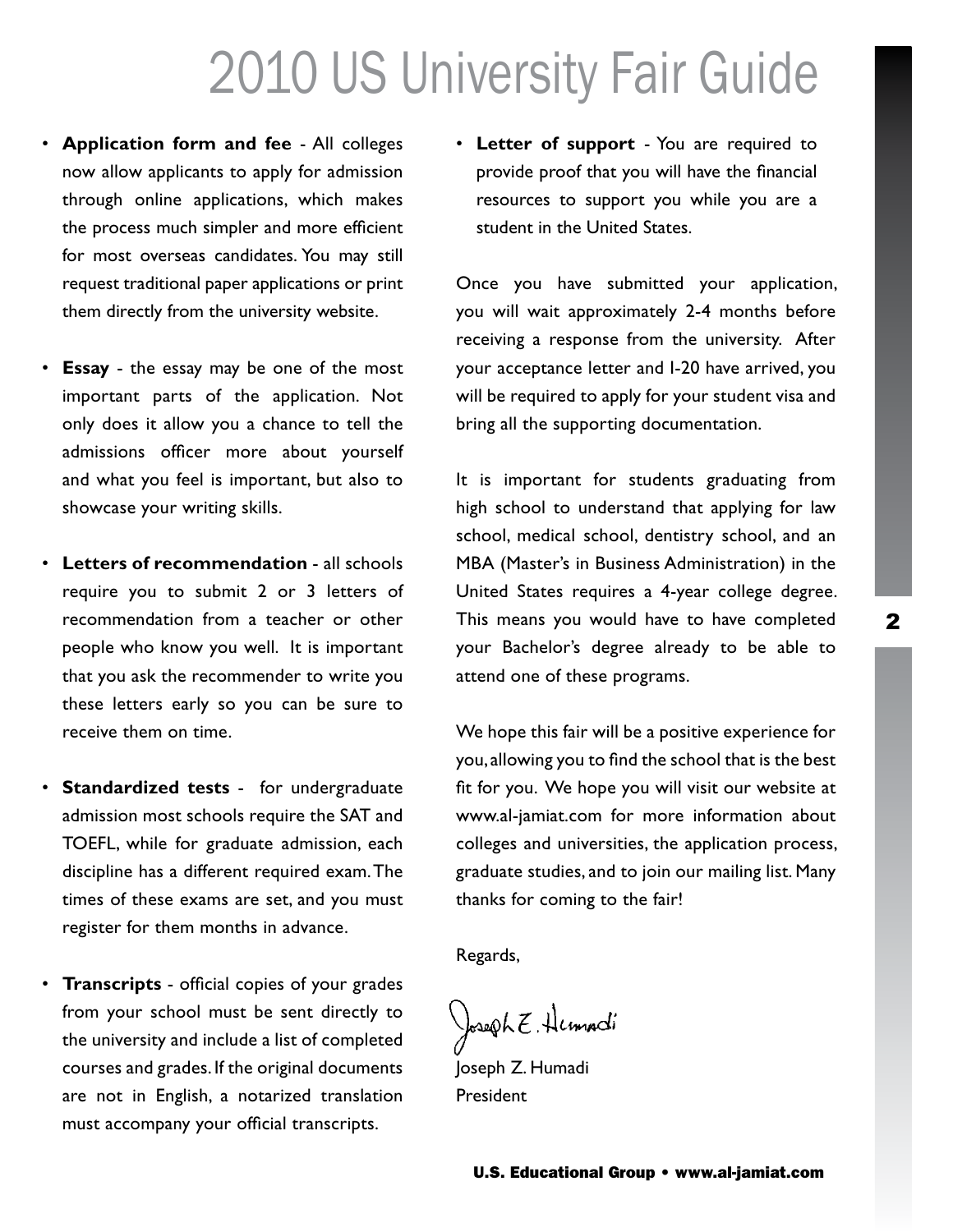- • **Application form and fee** All colleges now allow applicants to apply for admission through online applications, which makes the process much simpler and more efficient for most overseas candidates. You may still request traditional paper applications or print them directly from the university website.
- • **Essay** the essay may be one of the most important parts of the application. Not only does it allow you a chance to tell the admissions officer more about yourself and what you feel is important, but also to showcase your writing skills.
- • **Letters of recommendation** all schools require you to submit 2 or 3 letters of recommendation from a teacher or other people who know you well. It is important that you ask the recommender to write you these letters early so you can be sure to receive them on time.
- • **Standardized tests** for undergraduate admission most schools require the SAT and TOEFL, while for graduate admission, each discipline has a different required exam. The times of these exams are set, and you must register for them months in advance.
- • **Transcripts** official copies of your grades from your school must be sent directly to the university and include a list of completed courses and grades. If the original documents are not in English, a notarized translation must accompany your official transcripts.

• **Letter of support** - You are required to provide proof that you will have the financial resources to support you while you are a student in the United States.

Once you have submitted your application, you will wait approximately 2-4 months before receiving a response from the university. After your acceptance letter and I-20 have arrived, you will be required to apply for your student visa and bring all the supporting documentation.

It is important for students graduating from high school to understand that applying for law school, medical school, dentistry school, and an MBA (Master's in Business Administration) in the United States requires a 4-year college degree. This means you would have to have completed your Bachelor's degree already to be able to attend one of these programs.

We hope this fair will be a positive experience for you, allowing you to find the school that is the best fit for you. We hope you will visit our website at www.al-jamiat.com for more information about colleges and universities, the application process, graduate studies, and to join our mailing list. Many thanks for coming to the fair!

Regards,

Joseph E. Humadi

Joseph Z. Humadi President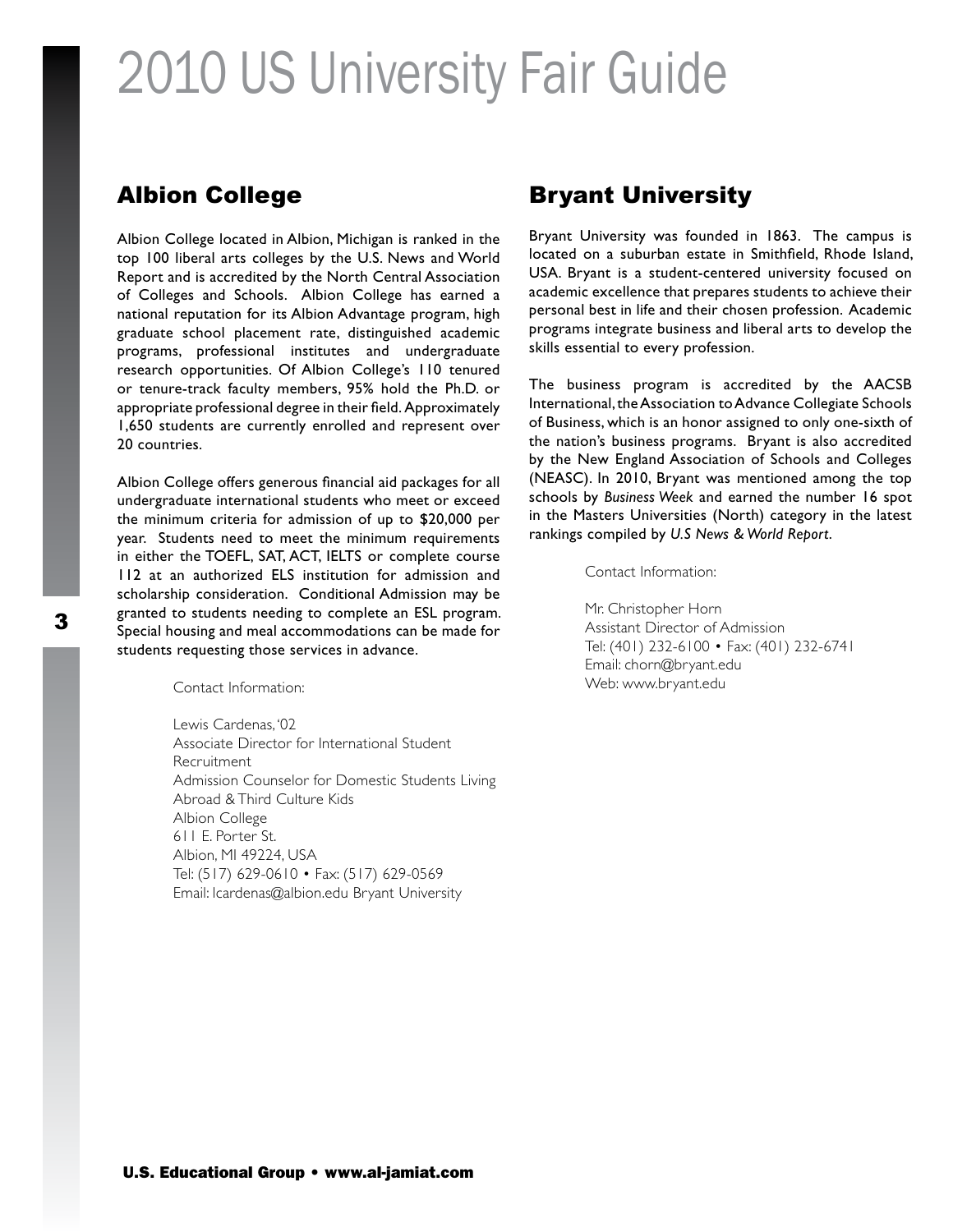### Albion College

Albion College located in Albion, Michigan is ranked in the top 100 liberal arts colleges by the U.S. News and World Report and is accredited by the North Central Association of Colleges and Schools. Albion College has earned a national reputation for its Albion Advantage program, high graduate school placement rate, distinguished academic programs, professional institutes and undergraduate research opportunities. Of Albion College's 110 tenured or tenure-track faculty members, 95% hold the Ph.D. or appropriate professional degree in their field. Approximately 1,650 students are currently enrolled and represent over 20 countries.

Albion College offers generous financial aid packages for all undergraduate international students who meet or exceed the minimum criteria for admission of up to \$20,000 per year. Students need to meet the minimum requirements in either the TOEFL, SAT, ACT, IELTS or complete course 112 at an authorized ELS institution for admission and scholarship consideration. Conditional Admission may be granted to students needing to complete an ESL program. Special housing and meal accommodations can be made for students requesting those services in advance.

Contact Information:

Lewis Cardenas, '02 Associate Director for International Student Recruitment Admission Counselor for Domestic Students Living Abroad & Third Culture Kids Albion College 611 E. Porter St. Albion, MI 49224, USA Tel: (517) 629-0610 • Fax: (517) 629-0569 Email: lcardenas@albion.edu Bryant University

### Bryant University

Bryant University was founded in 1863. The campus is located on a suburban estate in Smithfield, Rhode Island, USA. Bryant is a student-centered university focused on academic excellence that prepares students to achieve their personal best in life and their chosen profession. Academic programs integrate business and liberal arts to develop the skills essential to every profession.

The business program is accredited by the AACSB International, the Association to Advance Collegiate Schools of Business, which is an honor assigned to only one-sixth of the nation's business programs. Bryant is also accredited by the New England Association of Schools and Colleges (NEASC). In 2010, Bryant was mentioned among the top schools by *Business Week* and earned the number 16 spot in the Masters Universities (North) category in the latest rankings compiled by *U.S News & World Report*.

Contact Information:

Mr. Christopher Horn Assistant Director of Admission Tel: (401) 232-6100 • Fax: (401) 232-6741 Email: chorn@bryant.edu Web: www.bryant.edu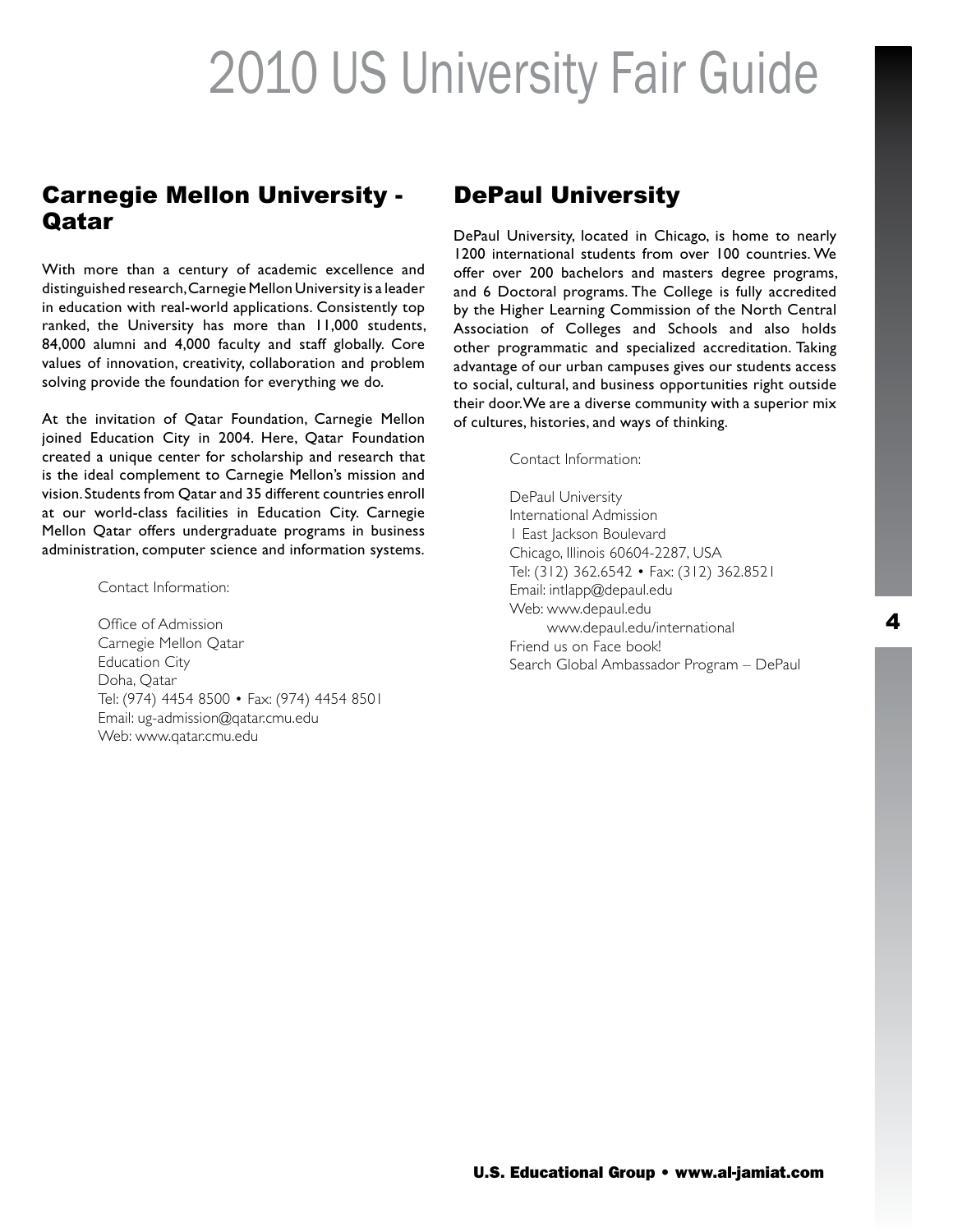### Carnegie Mellon University - Qatar

With more than a century of academic excellence and distinguished research, Carnegie Mellon University is a leader in education with real-world applications. Consistently top ranked, the University has more than 11,000 students, 84,000 alumni and 4,000 faculty and staff globally. Core values of innovation, creativity, collaboration and problem solving provide the foundation for everything we do.

At the invitation of Qatar Foundation, Carnegie Mellon joined Education City in 2004. Here, Qatar Foundation created a unique center for scholarship and research that is the ideal complement to Carnegie Mellon's mission and vision. Students from Qatar and 35 different countries enroll at our world-class facilities in Education City. Carnegie Mellon Qatar offers undergraduate programs in business administration, computer science and information systems.

Contact Information:

Office of Admission Carnegie Mellon Qatar Education City Doha, Qatar Tel: (974) 4454 8500 • Fax: (974) 4454 8501 Email: ug-admission@qatar.cmu.edu Web: www.qatar.cmu.edu

### DePaul University

DePaul University, located in Chicago, is home to nearly 1200 international students from over 100 countries. We offer over 200 bachelors and masters degree programs, and 6 Doctoral programs. The College is fully accredited by the Higher Learning Commission of the North Central Association of Colleges and Schools and also holds other programmatic and specialized accreditation. Taking advantage of our urban campuses gives our students access to social, cultural, and business opportunities right outside their door. We are a diverse community with a superior mix of cultures, histories, and ways of thinking.

Contact Information:

DePaul University International Admission 1 East Jackson Boulevard Chicago, Illinois 60604-2287, USA Tel: (312) 362.6542 • Fax: (312) 362.8521 Email: intlapp@depaul.edu Web: www.depaul.edu Web: www.depaul.edu/international Friend us on Face book! Search Global Ambassador Program – DePaul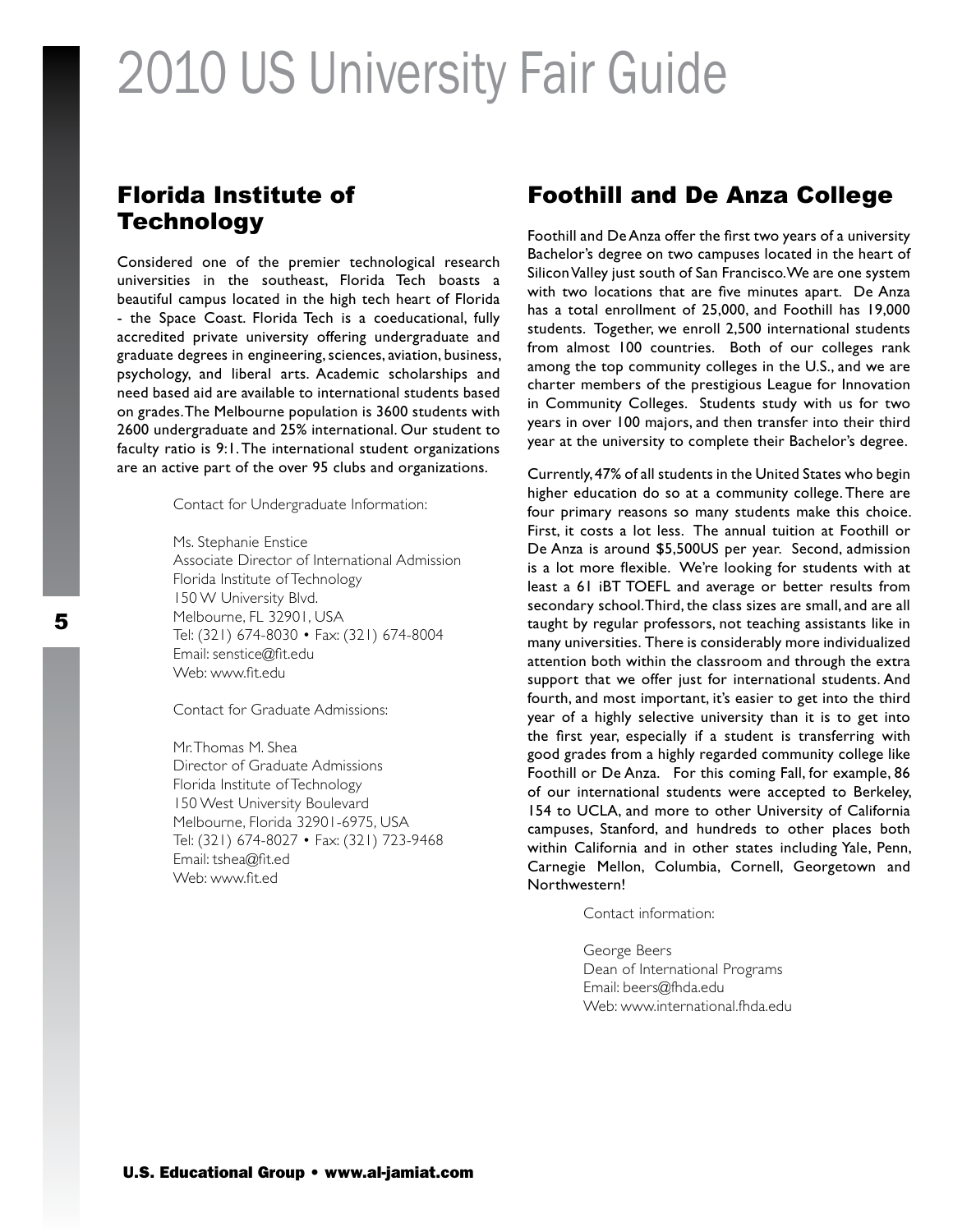### Florida Institute of **Technology**

Considered one of the premier technological research universities in the southeast, Florida Tech boasts a beautiful campus located in the high tech heart of Florida - the Space Coast. Florida Tech is a coeducational, fully accredited private university offering undergraduate and graduate degrees in engineering, sciences, aviation, business, psychology, and liberal arts. Academic scholarships and need based aid are available to international students based on grades. The Melbourne population is 3600 students with 2600 undergraduate and 25% international. Our student to faculty ratio is 9:1. The international student organizations are an active part of the over 95 clubs and organizations.

Contact for Undergraduate Information:

Ms. Stephanie Enstice Associate Director of International Admission Florida Institute of Technology 150 W University Blvd. Melbourne, FL 32901, USA Tel: (321) 674-8030 • Fax: (321) 674-8004 Email: senstice@fit.edu Web: www.fit.edu

Contact for Graduate Admissions:

Mr. Thomas M. Shea Director of Graduate Admissions Florida Institute of Technology 150 West University Boulevard Melbourne, Florida 32901-6975, USA Tel: (321) 674-8027 • Fax: (321) 723-9468 Email: tshea@fit.ed Web: www.fit.ed

#### Foothill and De Anza College

Foothill and De Anza offer the first two years of a university Bachelor's degree on two campuses located in the heart of Silicon Valley just south of San Francisco. We are one system with two locations that are five minutes apart. De Anza has a total enrollment of 25,000, and Foothill has 19,000 students. Together, we enroll 2,500 international students from almost 100 countries. Both of our colleges rank among the top community colleges in the U.S., and we are charter members of the prestigious League for Innovation in Community Colleges. Students study with us for two years in over 100 majors, and then transfer into their third year at the university to complete their Bachelor's degree.

Currently, 47% of all students in the United States who begin higher education do so at a community college. There are four primary reasons so many students make this choice. First, it costs a lot less. The annual tuition at Foothill or De Anza is around \$5,500US per year. Second, admission is a lot more flexible. We're looking for students with at least a 61 iBT TOEFL and average or better results from secondary school. Third, the class sizes are small, and are all taught by regular professors, not teaching assistants like in many universities. There is considerably more individualized attention both within the classroom and through the extra support that we offer just for international students. And fourth, and most important, it's easier to get into the third year of a highly selective university than it is to get into the first year, especially if a student is transferring with good grades from a highly regarded community college like Foothill or De Anza. For this coming Fall, for example, 86 of our international students were accepted to Berkeley, 154 to UCLA, and more to other University of California campuses, Stanford, and hundreds to other places both within California and in other states including Yale, Penn, Carnegie Mellon, Columbia, Cornell, Georgetown and Northwestern!

Contact information:

George Beers Dean of International Programs Email: beers@fhda.edu Web: www.international.fhda.edu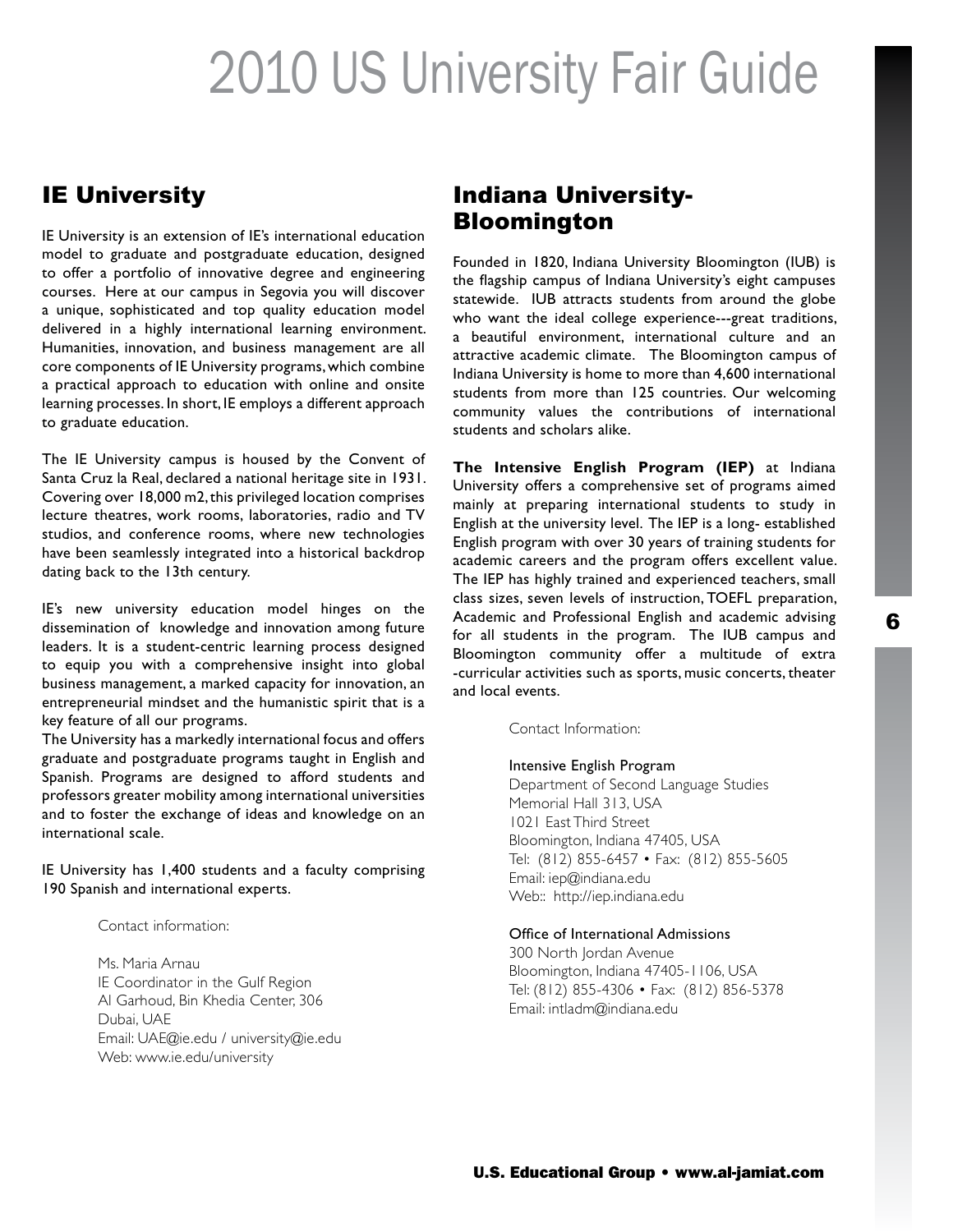### IE University

IE University is an extension of IE's international education model to graduate and postgraduate education, designed to offer a portfolio of innovative degree and engineering courses. Here at our campus in Segovia you will discover a unique, sophisticated and top quality education model delivered in a highly international learning environment. Humanities, innovation, and business management are all core components of IE University programs, which combine a practical approach to education with online and onsite learning processes. In short, IE employs a different approach to graduate education.

The IE University campus is housed by the Convent of Santa Cruz la Real, declared a national heritage site in 1931. Covering over 18,000 m2, this privileged location comprises lecture theatres, work rooms, laboratories, radio and TV studios, and conference rooms, where new technologies have been seamlessly integrated into a historical backdrop dating back to the 13th century.

IE's new university education model hinges on the dissemination of knowledge and innovation among future leaders. It is a student-centric learning process designed to equip you with a comprehensive insight into global business management, a marked capacity for innovation, an entrepreneurial mindset and the humanistic spirit that is a key feature of all our programs.

The University has a markedly international focus and offers graduate and postgraduate programs taught in English and Spanish. Programs are designed to afford students and professors greater mobility among international universities and to foster the exchange of ideas and knowledge on an international scale.

IE University has 1,400 students and a faculty comprising 190 Spanish and international experts.

Contact information:

Ms. Maria Arnau IE Coordinator in the Gulf Region Al Garhoud, Bin Khedia Center, 306 Dubai, UAE Email: UAE@ie.edu / university@ie.edu Web: www.ie.edu/university

### Indiana University-Bloomington

Founded in 1820, Indiana University Bloomington (IUB) is the flagship campus of Indiana University's eight campuses statewide. IUB attracts students from around the globe who want the ideal college experience---great traditions, a beautiful environment, international culture and an attractive academic climate. The Bloomington campus of Indiana University is home to more than 4,600 international students from more than 125 countries. Our welcoming community values the contributions of international students and scholars alike.

**The Intensive English Program (IEP)** at Indiana University offers a comprehensive set of programs aimed mainly at preparing international students to study in English at the university level. The IEP is a long- established English program with over 30 years of training students for academic careers and the program offers excellent value. The IEP has highly trained and experienced teachers, small class sizes, seven levels of instruction, TOEFL preparation, Academic and Professional English and academic advising for all students in the program. The IUB campus and Bloomington community offer a multitude of extra -curricular activities such as sports, music concerts, theater and local events.

Contact Information:

#### Intensive English Program

Department of Second Language Studies Memorial Hall 313, USA 1021 East Third Street Bloomington, Indiana 47405, USA Tel: (812) 855-6457 • Fax: (812) 855-5605 Email: iep@indiana.edu Web:: http://iep.indiana.edu

#### Office of International Admissions

300 North Jordan Avenue Bloomington, Indiana 47405-1106, USA Tel: (812) 855-4306 • Fax: (812) 856-5378 Email: intladm@indiana.edu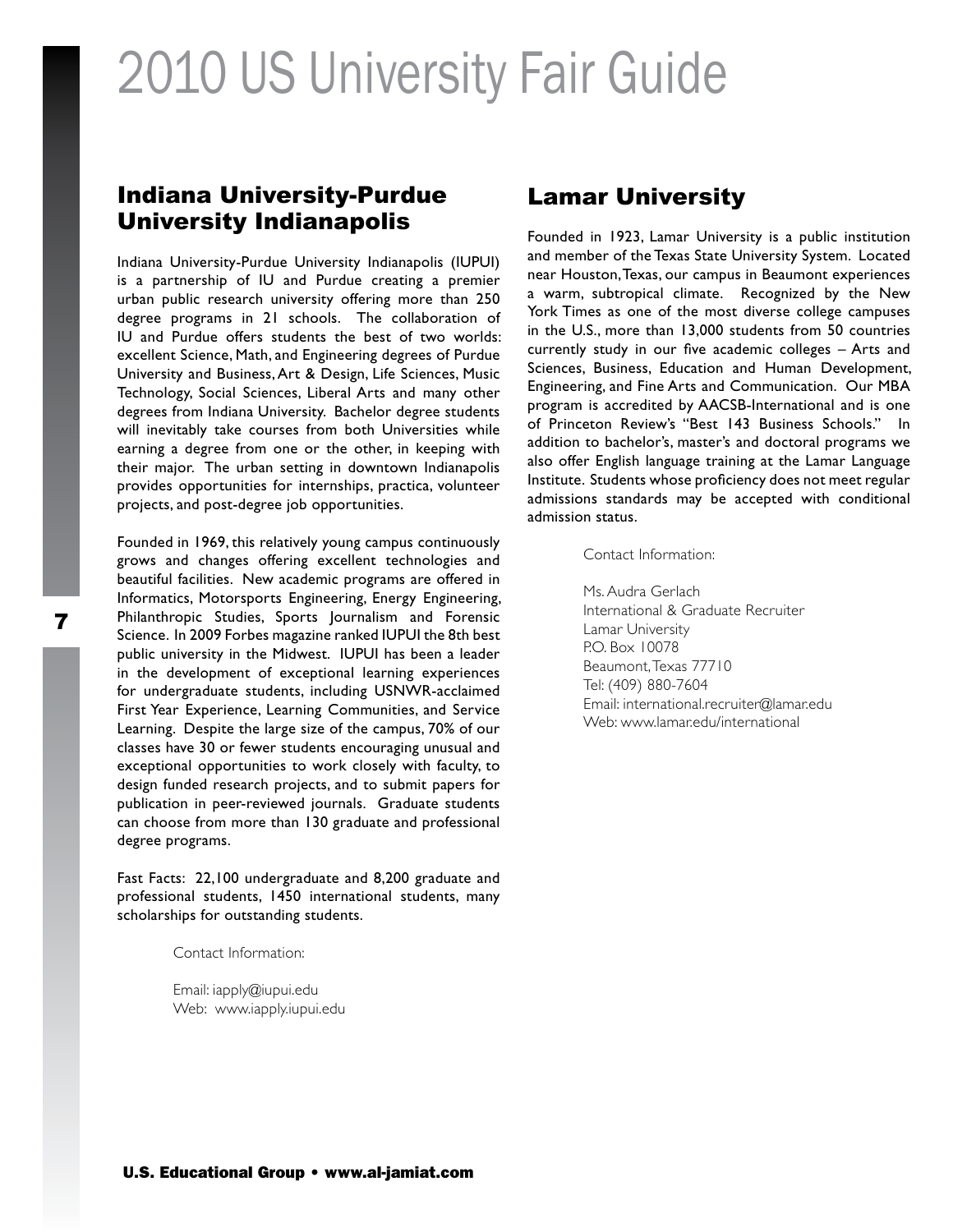### Indiana University-Purdue University Indianapolis

Indiana University-Purdue University Indianapolis (IUPUI) is a partnership of IU and Purdue creating a premier urban public research university offering more than 250 degree programs in 21 schools. The collaboration of IU and Purdue offers students the best of two worlds: excellent Science, Math, and Engineering degrees of Purdue University and Business, Art & Design, Life Sciences, Music Technology, Social Sciences, Liberal Arts and many other degrees from Indiana University. Bachelor degree students will inevitably take courses from both Universities while earning a degree from one or the other, in keeping with their major. The urban setting in downtown Indianapolis provides opportunities for internships, practica, volunteer projects, and post-degree job opportunities.

Founded in 1969, this relatively young campus continuously grows and changes offering excellent technologies and beautiful facilities. New academic programs are offered in Informatics, Motorsports Engineering, Energy Engineering, Philanthropic Studies, Sports Journalism and Forensic Science. In 2009 Forbes magazine ranked IUPUI the 8th best public university in the Midwest. IUPUI has been a leader in the development of exceptional learning experiences for undergraduate students, including USNWR-acclaimed First Year Experience, Learning Communities, and Service Learning. Despite the large size of the campus, 70% of our classes have 30 or fewer students encouraging unusual and exceptional opportunities to work closely with faculty, to design funded research projects, and to submit papers for publication in peer-reviewed journals. Graduate students can choose from more than 130 graduate and professional degree programs.

Fast Facts: 22,100 undergraduate and 8,200 graduate and professional students, 1450 international students, many scholarships for outstanding students.

Contact Information:

Email: iapply@iupui.edu Web: www.iapply.iupui.edu

### Lamar University

Founded in 1923, Lamar University is a public institution and member of the Texas State University System. Located near Houston, Texas, our campus in Beaumont experiences a warm, subtropical climate. Recognized by the New York Times as one of the most diverse college campuses in the U.S., more than 13,000 students from 50 countries currently study in our five academic colleges – Arts and Sciences, Business, Education and Human Development, Engineering, and Fine Arts and Communication. Our MBA program is accredited by AACSB-International and is one of Princeton Review's "Best 143 Business Schools." In addition to bachelor's, master's and doctoral programs we also offer English language training at the Lamar Language Institute. Students whose proficiency does not meet regular admissions standards may be accepted with conditional admission status.

Contact Information:

Ms. Audra Gerlach International & Graduate Recruiter Lamar University P.O. Box 10078 Beaumont, Texas 77710 Tel: (409) 880-7604 Email: international.recruiter@lamar.edu Web: www.lamar.edu/international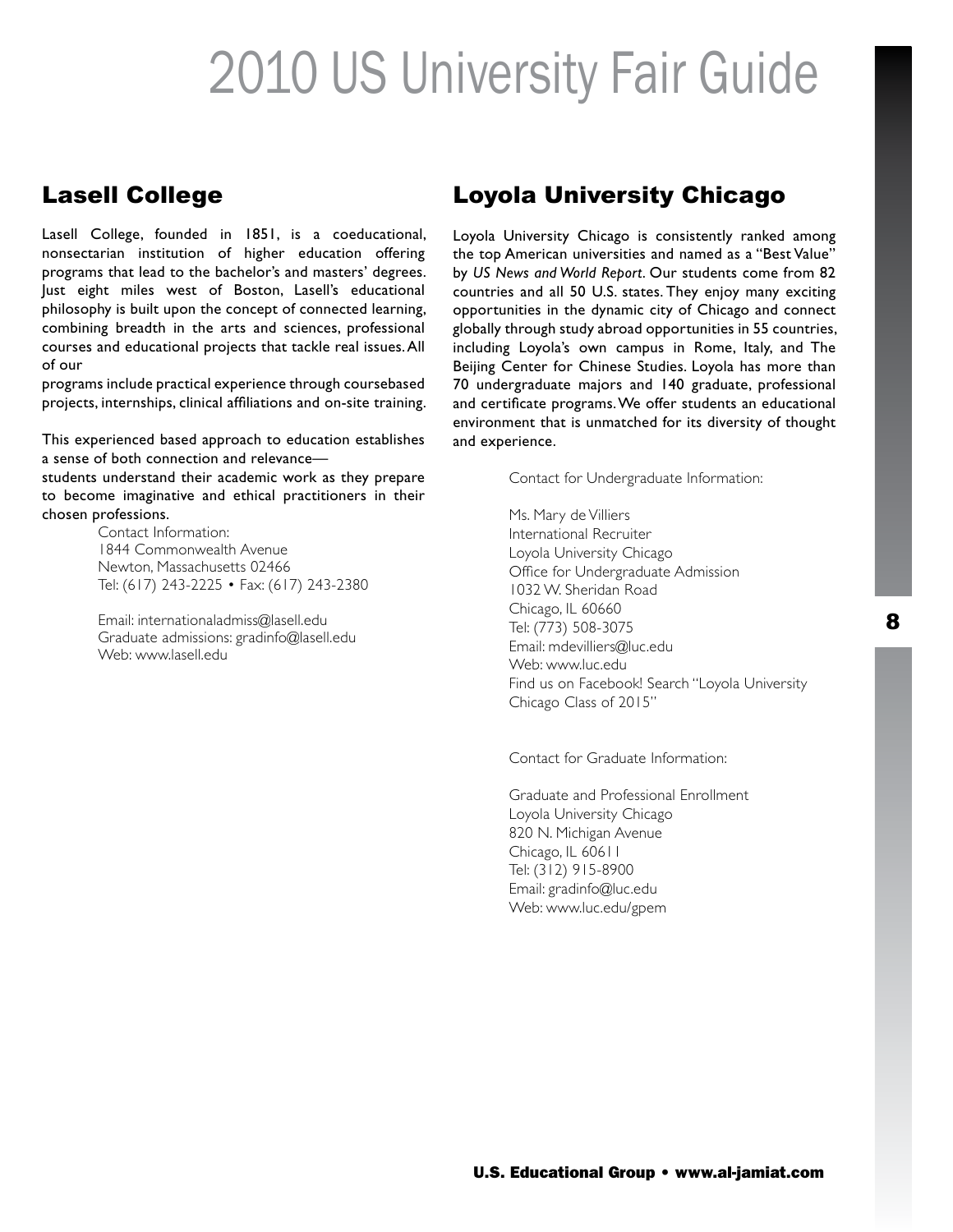### Lasell College

Lasell College, founded in 1851, is a coeducational, nonsectarian institution of higher education offering programs that lead to the bachelor's and masters' degrees. Just eight miles west of Boston, Lasell's educational philosophy is built upon the concept of connected learning, combining breadth in the arts and sciences, professional courses and educational projects that tackle real issues. All of our

programs include practical experience through coursebased projects, internships, clinical affiliations and on-site training.

This experienced based approach to education establishes a sense of both connection and relevance—

students understand their academic work as they prepare to become imaginative and ethical practitioners in their chosen professions.

Contact Information: 1844 Commonwealth Avenue Newton, Massachusetts 02466 Tel: (617) 243-2225 • Fax: (617) 243-2380

Email: internationaladmiss@lasell.edu Graduate admissions: gradinfo@lasell.edu Web: www.lasell.edu

### Loyola University Chicago

Loyola University Chicago is consistently ranked among the top American universities and named as a "Best Value" by *US News and World Report*. Our students come from 82 countries and all 50 U.S. states. They enjoy many exciting opportunities in the dynamic city of Chicago and connect globally through study abroad opportunities in 55 countries, including Loyola's own campus in Rome, Italy, and The Beijing Center for Chinese Studies. Loyola has more than 70 undergraduate majors and 140 graduate, professional and certificate programs. We offer students an educational environment that is unmatched for its diversity of thought and experience.

Contact for Undergraduate Information:

Ms. Mary de Villiers International Recruiter Loyola University Chicago Office for Undergraduate Admission 1032 W. Sheridan Road Chicago, IL 60660 Tel: (773) 508-3075 Email: mdevilliers@luc.edu Web: www.luc.edu Find us on Facebook! Search "Loyola University Chicago Class of 2015"

Contact for Graduate Information:

Graduate and Professional Enrollment Loyola University Chicago 820 N. Michigan Avenue Chicago, IL 60611 Tel: (312) 915-8900 Email: gradinfo@luc.edu Web: www.luc.edu/gpem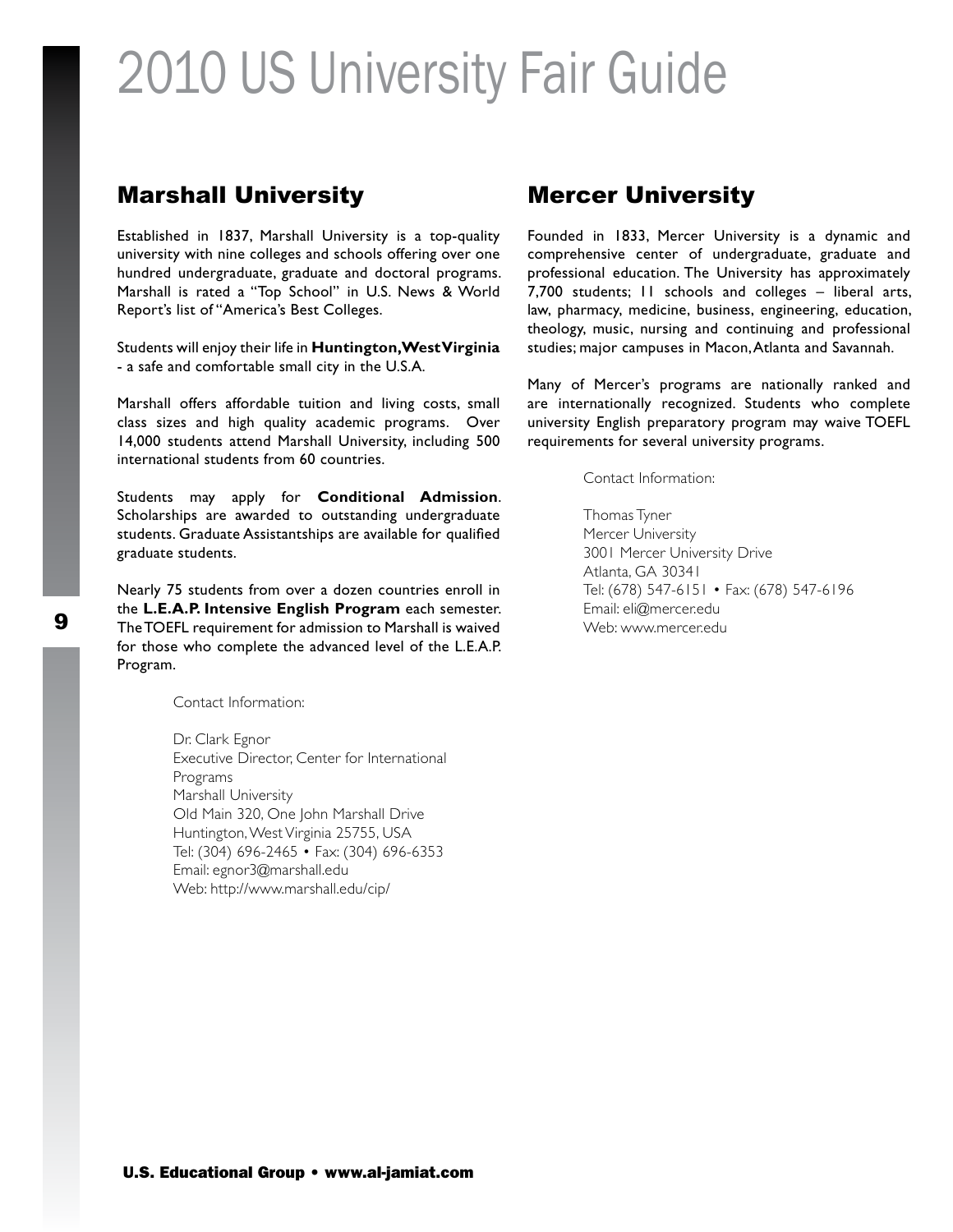### Marshall University

Established in 1837, Marshall University is a top-quality university with nine colleges and schools offering over one hundred undergraduate, graduate and doctoral programs. Marshall is rated a "Top School" in U.S. News & World Report's list of "America's Best Colleges.

Students will enjoy their life in **Huntington, West Virginia** - a safe and comfortable small city in the U.S.A.

Marshall offers affordable tuition and living costs, small class sizes and high quality academic programs. Over 14,000 students attend Marshall University, including 500 international students from 60 countries.

Students may apply for **Conditional Admission**. Scholarships are awarded to outstanding undergraduate students. Graduate Assistantships are available for qualified graduate students.

Nearly 75 students from over a dozen countries enroll in the **L.E.A.P. Intensive English Program** each semester. Email: eli@mercer.edu <sup>9</sup> Web: www.mercer.eduThe TOEFL requirement for admission to Marshall is waived for those who complete the advanced level of the L.E.A.P. Program.

Contact Information:

Dr. Clark Egnor Executive Director, Center for International Programs Marshall University Old Main 320, One John Marshall Drive Huntington, West Virginia 25755, USA Tel: (304) 696-2465 • Fax: (304) 696-6353 Email: egnor3@marshall.edu Web: http://www.marshall.edu/cip/

### Mercer University

Founded in 1833, Mercer University is a dynamic and comprehensive center of undergraduate, graduate and professional education. The University has approximately 7,700 students; 11 schools and colleges – liberal arts, law, pharmacy, medicine, business, engineering, education, theology, music, nursing and continuing and professional studies; major campuses in Macon, Atlanta and Savannah.

Many of Mercer's programs are nationally ranked and are internationally recognized. Students who complete university English preparatory program may waive TOEFL requirements for several university programs.

Contact Information:

Thomas Tyner Mercer University 3001 Mercer University Drive Atlanta, GA 30341 Tel: (678) 547-6151 • Fax: (678) 547-6196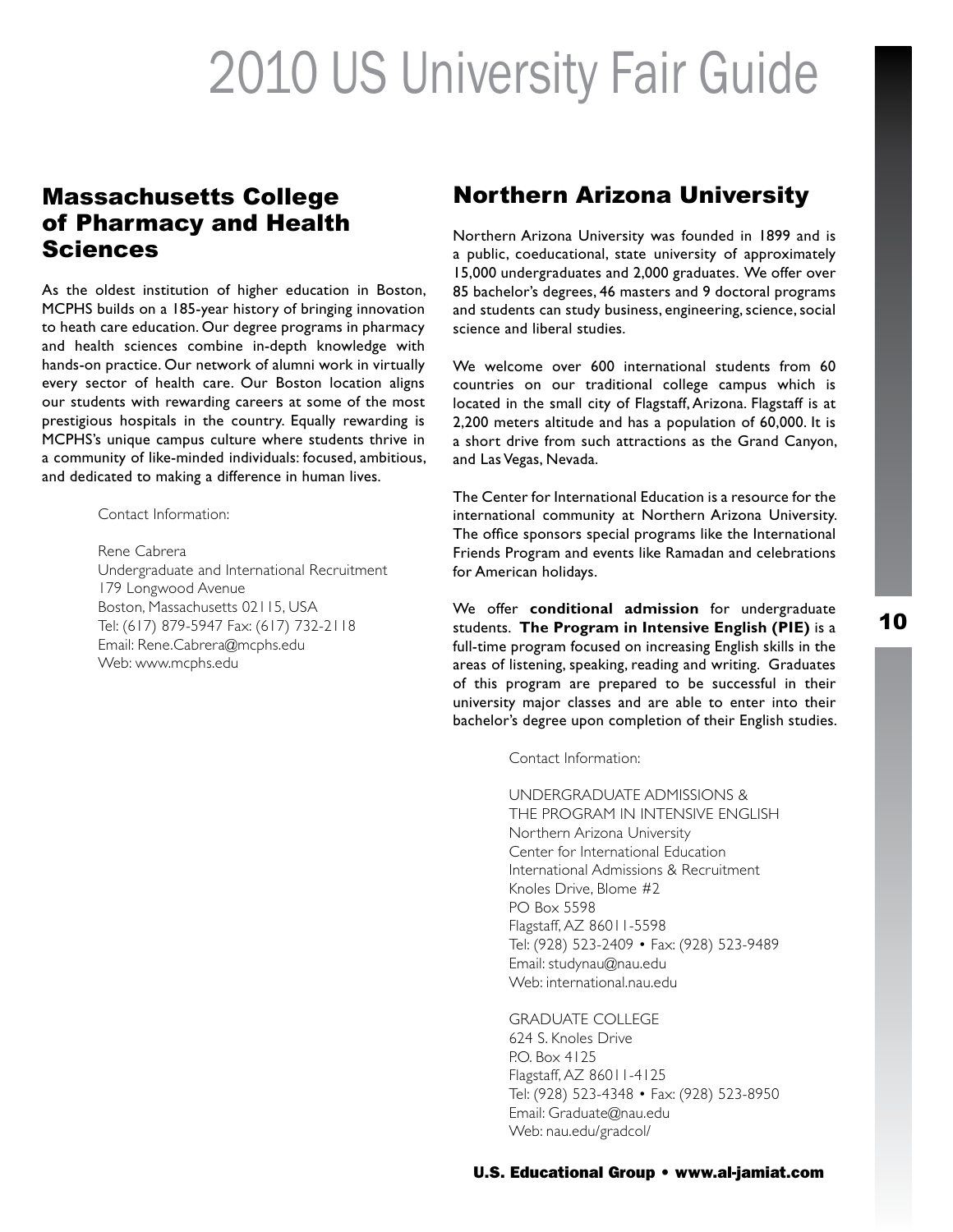### Massachusetts College of Pharmacy and Health Sciences

As the oldest institution of higher education in Boston, MCPHS builds on a 185-year history of bringing innovation to heath care education. Our degree programs in pharmacy and health sciences combine in-depth knowledge with hands-on practice. Our network of alumni work in virtually every sector of health care. Our Boston location aligns our students with rewarding careers at some of the most prestigious hospitals in the country. Equally rewarding is MCPHS's unique campus culture where students thrive in a community of like-minded individuals: focused, ambitious, and dedicated to making a difference in human lives.

Contact Information:

Rene Cabrera Undergraduate and International Recruitment 179 Longwood Avenue Boston, Massachusetts 02115, USA Tel: (617) 879-5947 Fax: (617) 732-2118 Email: Rene.Cabrera@mcphs.edu Web: www.mcphs.edu

### Northern Arizona University

Northern Arizona University was founded in 1899 and is a public, coeducational, state university of approximately 15,000 undergraduates and 2,000 graduates. We offer over 85 bachelor's degrees, 46 masters and 9 doctoral programs and students can study business, engineering, science, social science and liberal studies.

We welcome over 600 international students from 60 countries on our traditional college campus which is located in the small city of Flagstaff, Arizona. Flagstaff is at 2,200 meters altitude and has a population of 60,000. It is a short drive from such attractions as the Grand Canyon, and Las Vegas, Nevada.

The Center for International Education is a resource for the international community at Northern Arizona University. The office sponsors special programs like the International Friends Program and events like Ramadan and celebrations for American holidays.

We offer **conditional admission** for undergraduate students. **The Program in Intensive English (PIE)** is a full-time program focused on increasing English skills in the areas of listening, speaking, reading and writing. Graduates of this program are prepared to be successful in their university major classes and are able to enter into their bachelor's degree upon completion of their English studies.

Contact Information:

UNDERGRADUATE ADMISSIONS & THE PROGRAM IN INTENSIVE ENGLISH Northern Arizona University Center for International Education International Admissions & Recruitment Knoles Drive, Blome #2 PO Box 5598 Flagstaff, AZ 86011-5598 Tel: (928) 523-2409 • Fax: (928) 523-9489 Email: studynau@nau.edu Web: international.nau.edu

GRADUATE COLLEGE 624 S. Knoles Drive P.O. Box 4125 Flagstaff, AZ 86011-4125 Tel: (928) 523-4348 • Fax: (928) 523-8950 Email: Graduate@nau.edu Web: nau.edu/gradcol/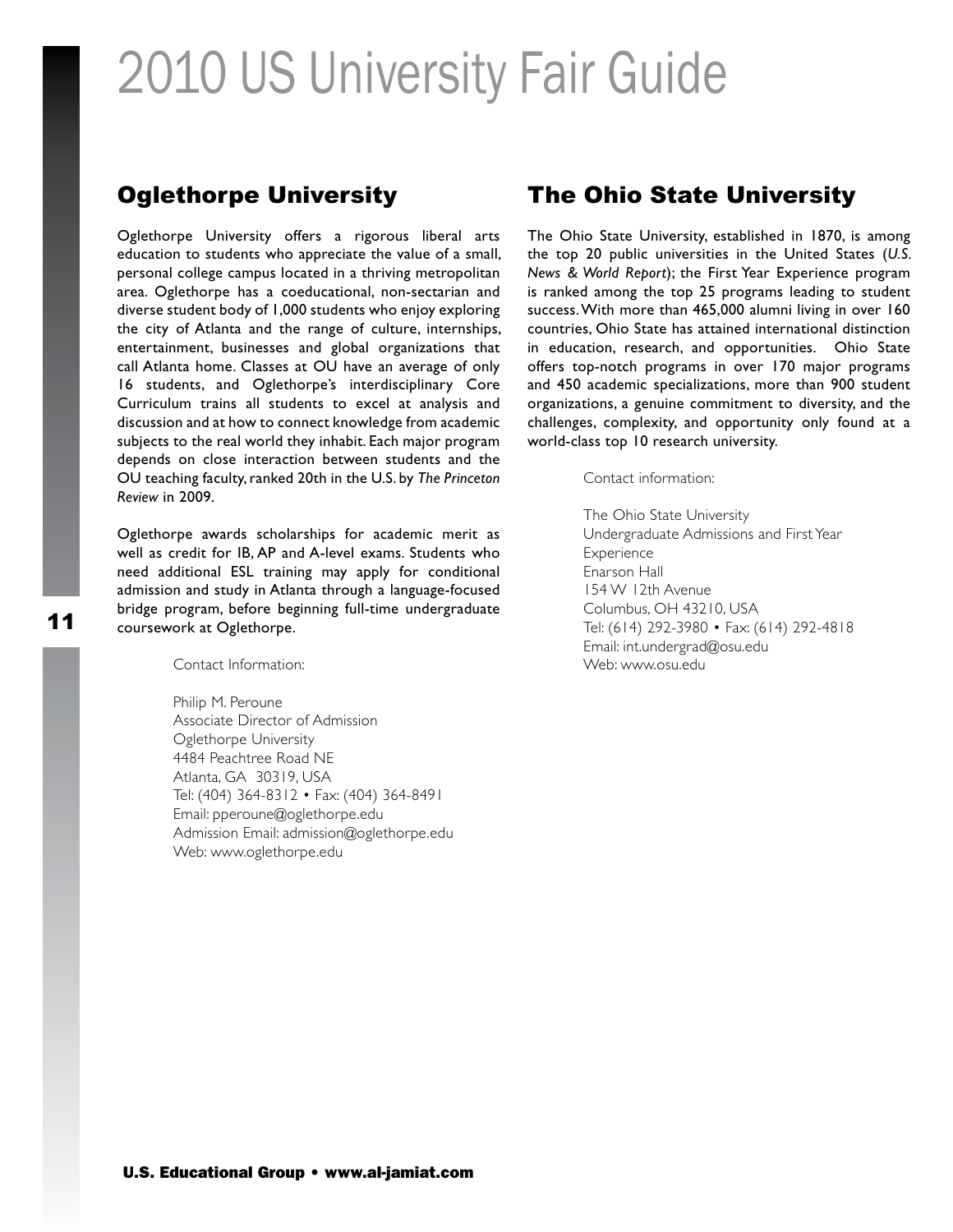### Oglethorpe University

Oglethorpe University offers a rigorous liberal arts education to students who appreciate the value of a small, personal college campus located in a thriving metropolitan area. Oglethorpe has a coeducational, non-sectarian and diverse student body of 1,000 students who enjoy exploring the city of Atlanta and the range of culture, internships, entertainment, businesses and global organizations that call Atlanta home. Classes at OU have an average of only 16 students, and Oglethorpe's interdisciplinary Core Curriculum trains all students to excel at analysis and discussion and at how to connect knowledge from academic subjects to the real world they inhabit. Each major program depends on close interaction between students and the OU teaching faculty, ranked 20th in the U.S. by *The Princeton Review* in 2009.

Oglethorpe awards scholarships for academic merit as well as credit for IB, AP and A-level exams. Students who need additional ESL training may apply for conditional admission and study in Atlanta through a language-focused bridge program, before beginning full-time undergraduate coursework at Oglethorpe.

Contact Information:

Philip M. Peroune Associate Director of Admission Oglethorpe University 4484 Peachtree Road NE Atlanta, GA 30319, USA Tel: (404) 364-8312 • Fax: (404) 364-8491 Email: pperoune@oglethorpe.edu Admission Email: admission@oglethorpe.edu Web: www.oglethorpe.edu

### The Ohio State University

The Ohio State University, established in 1870, is among the top 20 public universities in the United States (*U.S. News & World Report*); the First Year Experience program is ranked among the top 25 programs leading to student success. With more than 465,000 alumni living in over 160 countries, Ohio State has attained international distinction in education, research, and opportunities. Ohio State offers top-notch programs in over 170 major programs and 450 academic specializations, more than 900 student organizations, a genuine commitment to diversity, and the challenges, complexity, and opportunity only found at a world-class top 10 research university.

Contact information:

The Ohio State University Undergraduate Admissions and First Year **Experience** Enarson Hall 154 W 12th Avenue Columbus, OH 43210, USA Tel: (614) 292-3980 • Fax: (614) 292-4818 Email: int.undergrad@osu.edu Web: www.osu.edu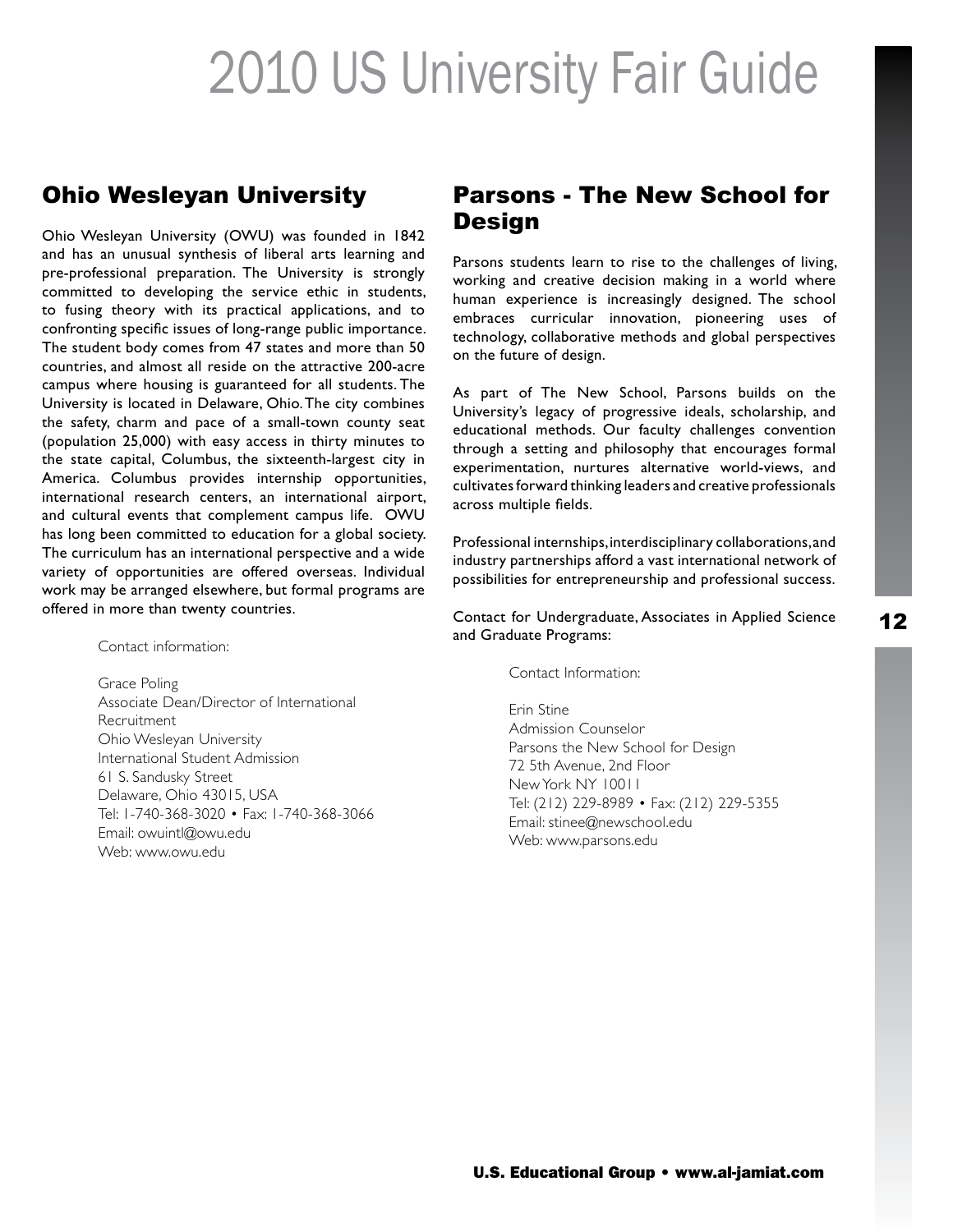### Ohio Wesleyan University

Ohio Wesleyan University (OWU) was founded in 1842 and has an unusual synthesis of liberal arts learning and pre-professional preparation. The University is strongly committed to developing the service ethic in students, to fusing theory with its practical applications, and to confronting specific issues of long-range public importance. The student body comes from 47 states and more than 50 countries, and almost all reside on the attractive 200-acre campus where housing is guaranteed for all students. The University is located in Delaware, Ohio. The city combines the safety, charm and pace of a small-town county seat (population 25,000) with easy access in thirty minutes to the state capital, Columbus, the sixteenth-largest city in America. Columbus provides internship opportunities, international research centers, an international airport, and cultural events that complement campus life. OWU has long been committed to education for a global society. The curriculum has an international perspective and a wide variety of opportunities are offered overseas. Individual work may be arranged elsewhere, but formal programs are offered in more than twenty countries.

Contact information:

Grace Poling Associate Dean/Director of International Recruitment Ohio Wesleyan University International Student Admission 61 S. Sandusky Street Delaware, Ohio 43015, USA Tel: 1-740-368-3020 • Fax: 1-740-368-3066 Email: owuintl@owu.edu Web: www.owu.edu

### Parsons - The New School for **Design**

Parsons students learn to rise to the challenges of living, working and creative decision making in a world where human experience is increasingly designed. The school embraces curricular innovation, pioneering uses of technology, collaborative methods and global perspectives on the future of design.

As part of The New School, Parsons builds on the University's legacy of progressive ideals, scholarship, and educational methods. Our faculty challenges convention through a setting and philosophy that encourages formal experimentation, nurtures alternative world-views, and cultivates forward thinking leaders and creative professionals across multiple fields.

Professional internships, interdisciplinary collaborations, and industry partnerships afford a vast international network of possibilities for entrepreneurship and professional success.

Contact for Undergraduate, Associates in Applied Science and Graduate Programs:

Contact Information:

Erin Stine Admission Counselor Parsons the New School for Design 72 5th Avenue, 2nd Floor New York NY 10011 Tel: (212) 229-8989 • Fax: (212) 229-5355 Email: stinee@newschool.edu Web: www.parsons.edu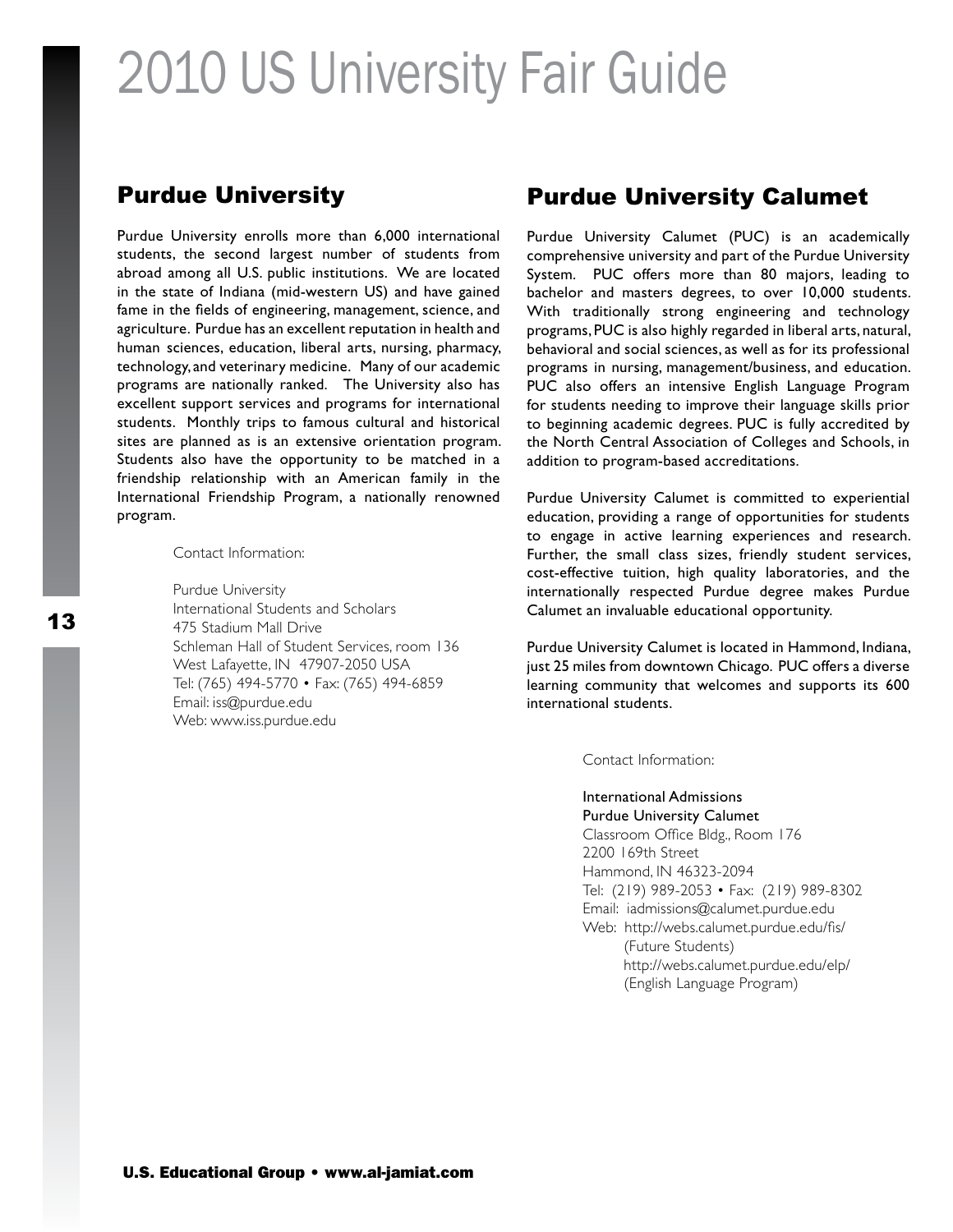### Purdue University

Purdue University enrolls more than 6,000 international students, the second largest number of students from abroad among all U.S. public institutions. We are located in the state of Indiana (mid-western US) and have gained fame in the fields of engineering, management, science, and agriculture. Purdue has an excellent reputation in health and human sciences, education, liberal arts, nursing, pharmacy, technology, and veterinary medicine. Many of our academic programs are nationally ranked. The University also has excellent support services and programs for international students. Monthly trips to famous cultural and historical sites are planned as is an extensive orientation program. Students also have the opportunity to be matched in a friendship relationship with an American family in the International Friendship Program, a nationally renowned program.

Contact Information:

Purdue University International Students and Scholars 475 Stadium Mall Drive Schleman Hall of Student Services, room 136 West Lafayette, IN 47907-2050 USA Tel: (765) 494-5770 • Fax: (765) 494-6859 Email: iss@purdue.edu Web: www.iss.purdue.edu

#### Purdue University Calumet

Purdue University Calumet (PUC) is an academically comprehensive university and part of the Purdue University System. PUC offers more than 80 majors, leading to bachelor and masters degrees, to over 10,000 students. With traditionally strong engineering and technology programs, PUC is also highly regarded in liberal arts, natural, behavioral and social sciences, as well as for its professional programs in nursing, management/business, and education. PUC also offers an intensive English Language Program for students needing to improve their language skills prior to beginning academic degrees. PUC is fully accredited by the North Central Association of Colleges and Schools, in addition to program-based accreditations.

Purdue University Calumet is committed to experiential education, providing a range of opportunities for students to engage in active learning experiences and research. Further, the small class sizes, friendly student services, cost-effective tuition, high quality laboratories, and the internationally respected Purdue degree makes Purdue Calumet an invaluable educational opportunity.

Purdue University Calumet is located in Hammond, Indiana, just 25 miles from downtown Chicago. PUC offers a diverse learning community that welcomes and supports its 600 international students.

Contact Information:

International Admissions Purdue University Calumet

Classroom Office Bldg., Room 176 2200 169th Street Hammond, IN 46323-2094 Tel: (219) 989-2053 • Fax: (219) 989-8302 Email: iadmissions@calumet.purdue.edu Web: http://webs.calumet.purdue.edu/fis/ (Future Students) http://webs.calumet.purdue.edu/elp/ (English Language Program)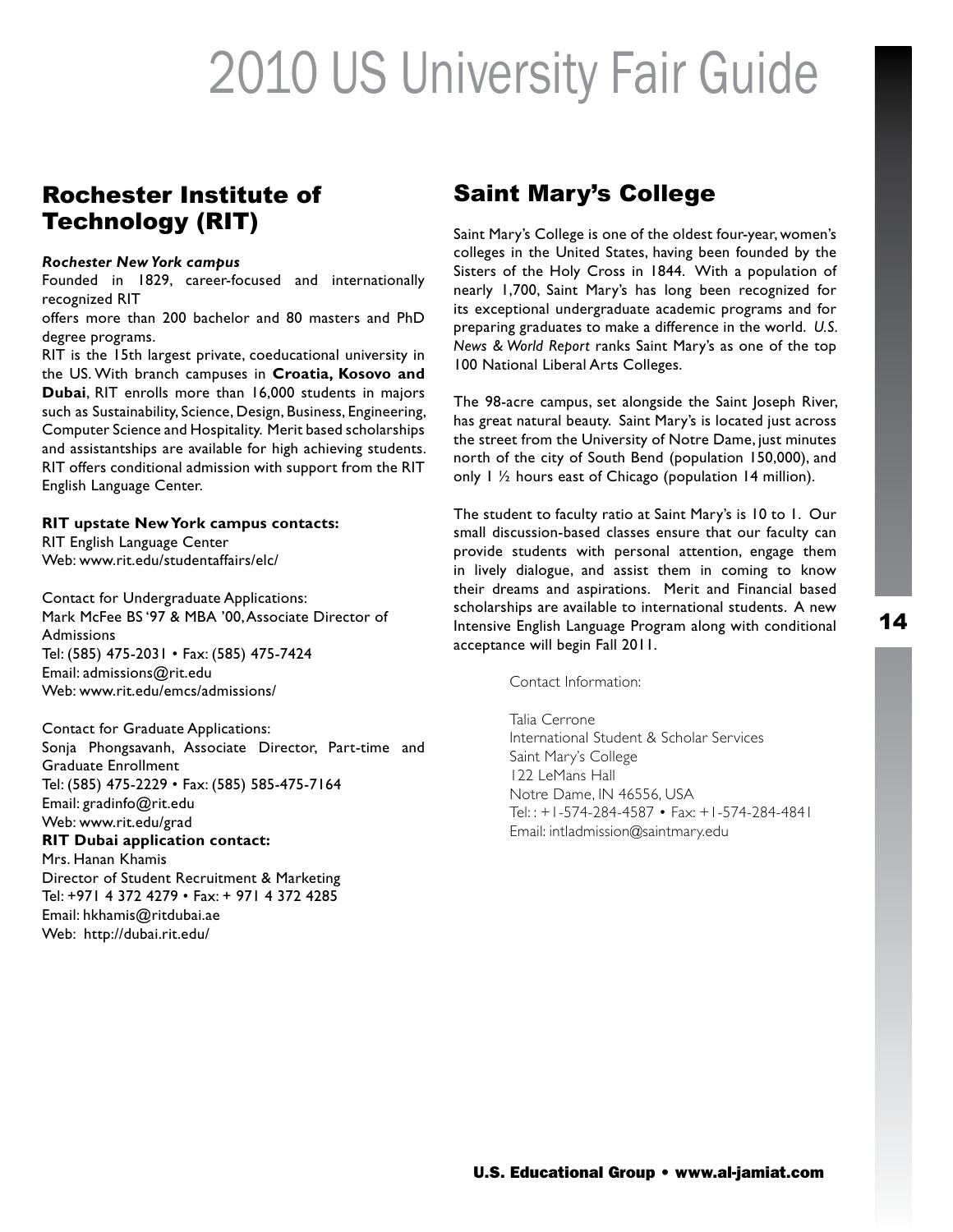### Rochester Institute of Technology (RIT)

#### *Rochester New York campus*

Founded in 1829, career-focused and internationally recognized RIT

offers more than 200 bachelor and 80 masters and PhD degree programs.

RIT is the 15th largest private, coeducational university in the US. With branch campuses in **Croatia, Kosovo and Dubai**, RIT enrolls more than 16,000 students in majors such as Sustainability, Science, Design, Business, Engineering, Computer Science and Hospitality. Merit based scholarships and assistantships are available for high achieving students. RIT offers conditional admission with support from the RIT English Language Center.

#### **RIT upstate New York campus contacts:**

RIT English Language Center Web: www.rit.edu/studentaffairs/elc/

Contact for Undergraduate Applications: Mark McFee BS '97 & MBA '00, Associate Director of **Admissions** Tel: (585) 475-2031 • Fax: (585) 475-7424 Email: admissions@rit.edu Web: www.rit.edu/emcs/admissions/

Contact for Graduate Applications: Sonja Phongsavanh, Associate Director, Part-time and Graduate Enrollment Tel: (585) 475-2229 • Fax: (585) 585-475-7164 Email: gradinfo@rit.edu Web: www.rit.edu/grad **RIT Dubai application contact:** Mrs. Hanan Khamis Director of Student Recruitment & Marketing Tel: +971 4 372 4279 • Fax: + 971 4 372 4285 Email: hkhamis@ritdubai.ae

Web: http://dubai.rit.edu/

### Saint Mary's College

Saint Mary's College is one of the oldest four-year, women's colleges in the United States, having been founded by the Sisters of the Holy Cross in 1844. With a population of nearly 1,700, Saint Mary's has long been recognized for its exceptional undergraduate academic programs and for preparing graduates to make a difference in the world. *U.S. News & World Report* ranks Saint Mary's as one of the top 100 National Liberal Arts Colleges.

The 98-acre campus, set alongside the Saint Joseph River, has great natural beauty. Saint Mary's is located just across the street from the University of Notre Dame, just minutes north of the city of South Bend (population 150,000), and only  $1 \frac{1}{2}$  hours east of Chicago (population 14 million).

The student to faculty ratio at Saint Mary's is 10 to 1. Our small discussion-based classes ensure that our faculty can provide students with personal attention, engage them in lively dialogue, and assist them in coming to know their dreams and aspirations. Merit and Financial based scholarships are available to international students. A new Intensive English Language Program along with conditional acceptance will begin Fall 2011.

Contact Information:

Talia Cerrone International Student & Scholar Services Saint Mary's College 122 LeMans Hall Notre Dame, IN 46556, USA Tel: : +1-574-284-4587 • Fax: +1-574-284-4841 Email: intladmission@saintmary.edu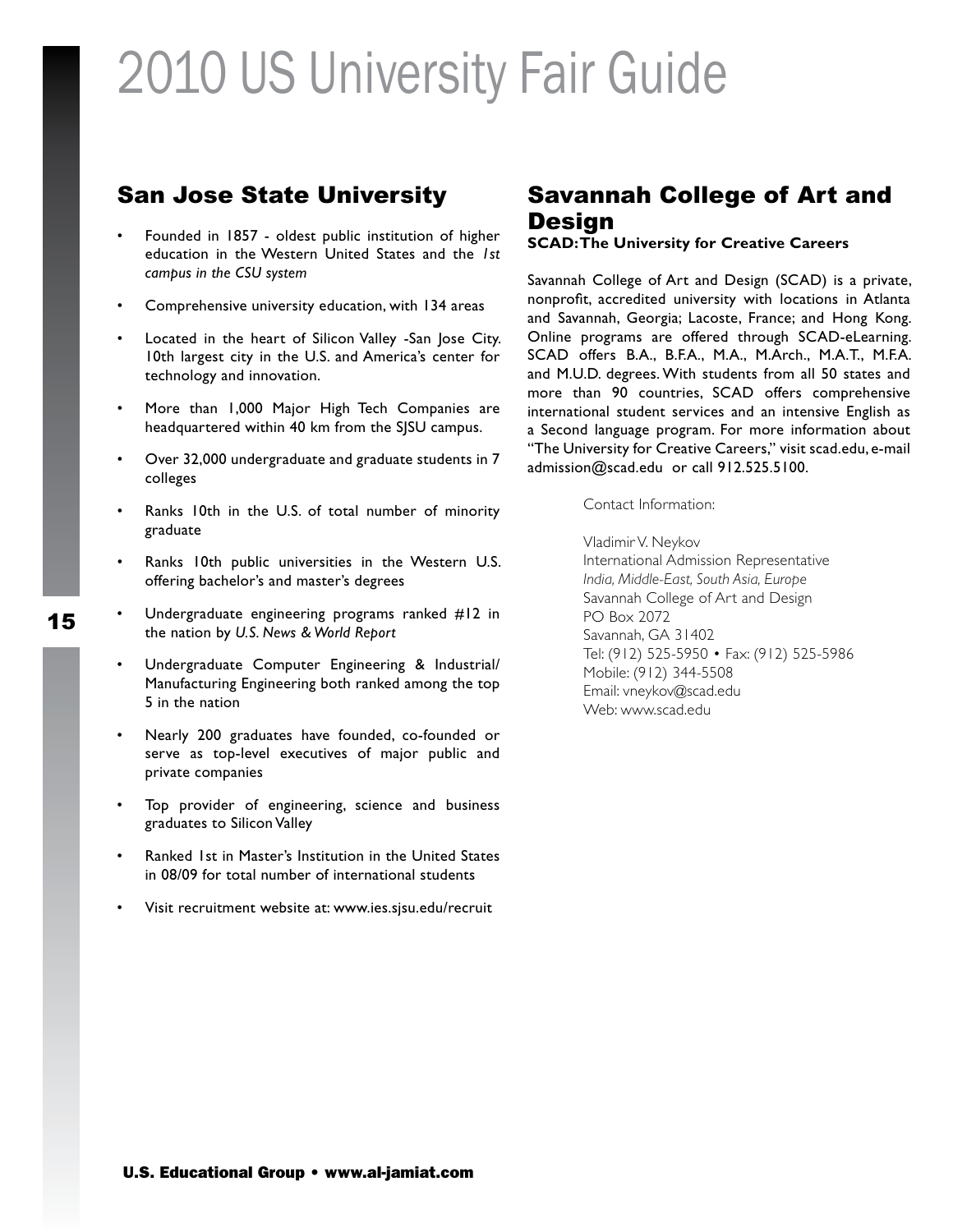### San Jose State University

- Founded in 1857 oldest public institution of higher education in the Western United States and the *1st campus in the CSU system*
- Comprehensive university education, with 134 areas
- Located in the heart of Silicon Valley -San Jose City. 10th largest city in the U.S. and America's center for technology and innovation.
- More than 1,000 Major High Tech Companies are headquartered within 40 km from the SJSU campus.
- Over 32,000 undergraduate and graduate students in 7 colleges
- Ranks 10th in the U.S. of total number of minority graduate
- • Ranks 10th public universities in the Western U.S. offering bachelor's and master's degrees
- Undergraduate engineering programs ranked  $#12$  in the nation by *U.S. News & World Report*
- • Undergraduate Computer Engineering & Industrial/ Manufacturing Engineering both ranked among the top 5 in the nation
- Nearly 200 graduates have founded, co-founded or serve as top-level executives of major public and private companies
- Top provider of engineering, science and business graduates to Silicon Valley
- Ranked 1st in Master's Institution in the United States in 08/09 for total number of international students
- Visit recruitment website at: www.ies.sjsu.edu/recruit

### Savannah College of Art and **Design**

#### **SCAD: The University for Creative Careers**

Savannah College of Art and Design (SCAD) is a private, nonprofit, accredited university with locations in Atlanta and Savannah, Georgia; Lacoste, France; and Hong Kong. Online programs are offered through SCAD-eLearning. SCAD offers B.A., B.F.A., M.A., M.Arch., M.A.T., M.F.A. and M.U.D. degrees. With students from all 50 states and more than 90 countries, SCAD offers comprehensive international student services and an intensive English as a Second language program. For more information about "The University for Creative Careers," visit scad.edu, e-mail admission@scad.edu or call 912.525.5100.

Contact Information:

Vladimir V. Neykov International Admission Representative *India, Middle-East, South Asia, Europe* Savannah College of Art and Design PO Box 2072 Savannah, GA 31402 Tel: (912) 525-5950 • Fax: (912) 525-5986 Mobile: (912) 344-5508 Email: vneykov@scad.edu Web: www.scad.edu

15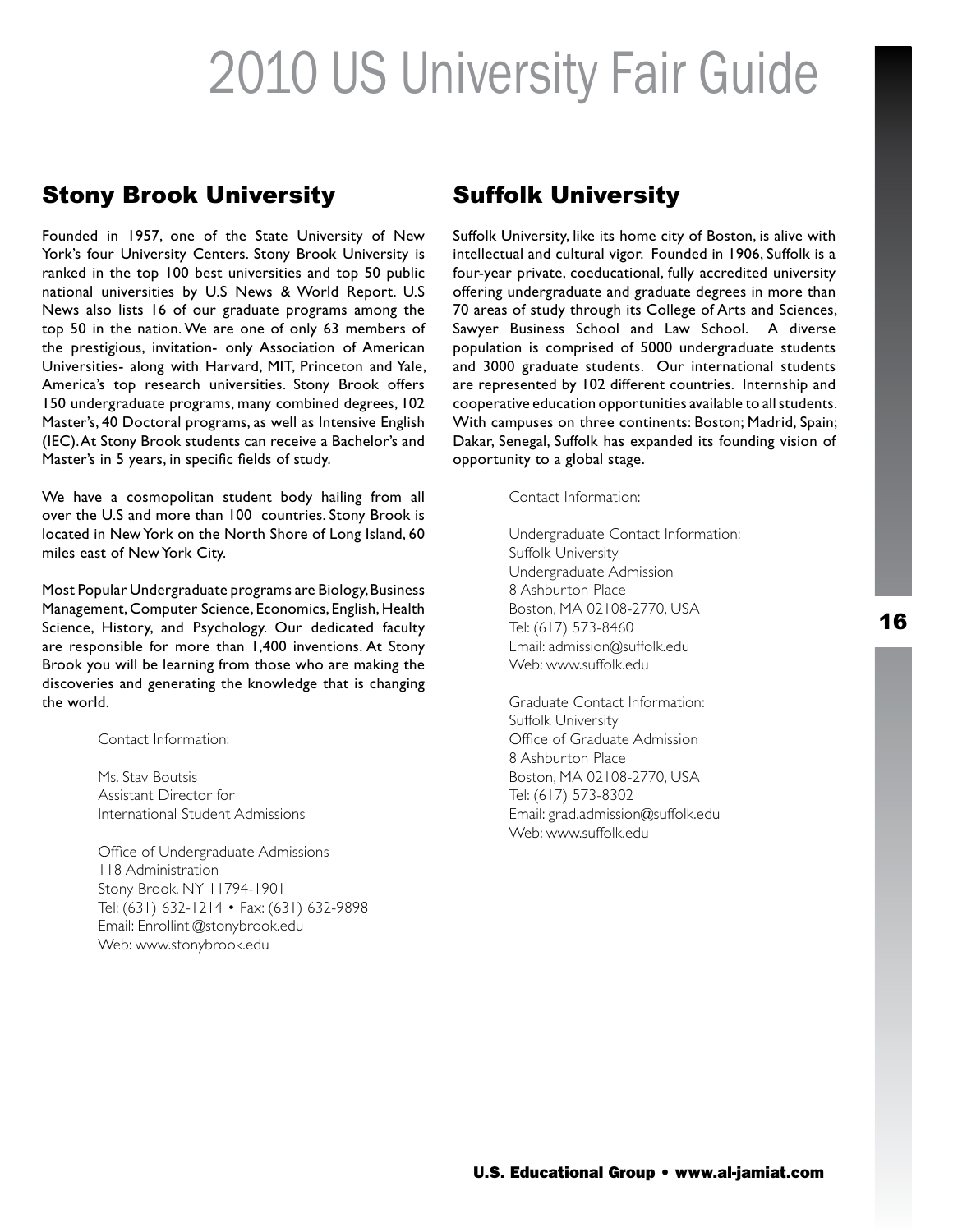### Stony Brook University

Founded in 1957, one of the State University of New York's four University Centers. Stony Brook University is ranked in the top 100 best universities and top 50 public national universities by U.S News & World Report. U.S News also lists 16 of our graduate programs among the top 50 in the nation. We are one of only 63 members of the prestigious, invitation- only Association of American Universities- along with Harvard, MIT, Princeton and Yale, America's top research universities. Stony Brook offers 150 undergraduate programs, many combined degrees, 102 Master's, 40 Doctoral programs, as well as Intensive English (IEC). At Stony Brook students can receive a Bachelor's and Master's in 5 years, in specific fields of study.

We have a cosmopolitan student body hailing from all over the U.S and more than 100 countries. Stony Brook is located in New York on the North Shore of Long Island, 60 miles east of New York City.

Most Popular Undergraduate programs are Biology, Business Management, Computer Science, Economics, English, Health Science, History, and Psychology. Our dedicated faculty are responsible for more than 1,400 inventions. At Stony Brook you will be learning from those who are making the discoveries and generating the knowledge that is changing the world.

Contact Information:

Ms. Stav Boutsis Assistant Director for International Student Admissions

Office of Undergraduate Admissions 118 Administration Stony Brook, NY 11794-1901 Tel: (631) 632-1214 • Fax: (631) 632-9898 Email: Enrollintl@stonybrook.edu Web: www.stonybrook.edu

### Suffolk University

Suffolk University, like its home city of Boston, is alive with intellectual and cultural vigor. Founded in 1906, Suffolk is a four-year private, coeducational, fully accredited university offering undergraduate and graduate degrees in more than 70 areas of study through its College of Arts and Sciences, Sawyer Business School and Law School. A diverse population is comprised of 5000 undergraduate students and 3000 graduate students. Our international students are represented by 102 different countries. Internship and cooperative education opportunities available to all students. With campuses on three continents: Boston; Madrid, Spain; Dakar, Senegal, Suffolk has expanded its founding vision of opportunity to a global stage.

Contact Information:

Undergraduate Contact Information: Suffolk University Undergraduate Admission 8 Ashburton Place Boston, MA 02108-2770, USA Tel: (617) 573-8460 Email: admission@suffolk.edu Web: www.suffolk.edu

Graduate Contact Information: Suffolk University Office of Graduate Admission 8 Ashburton Place Boston, MA 02108-2770, USA Tel: (617) 573-8302 Email: grad.admission@suffolk.edu Web: www.suffolk.edu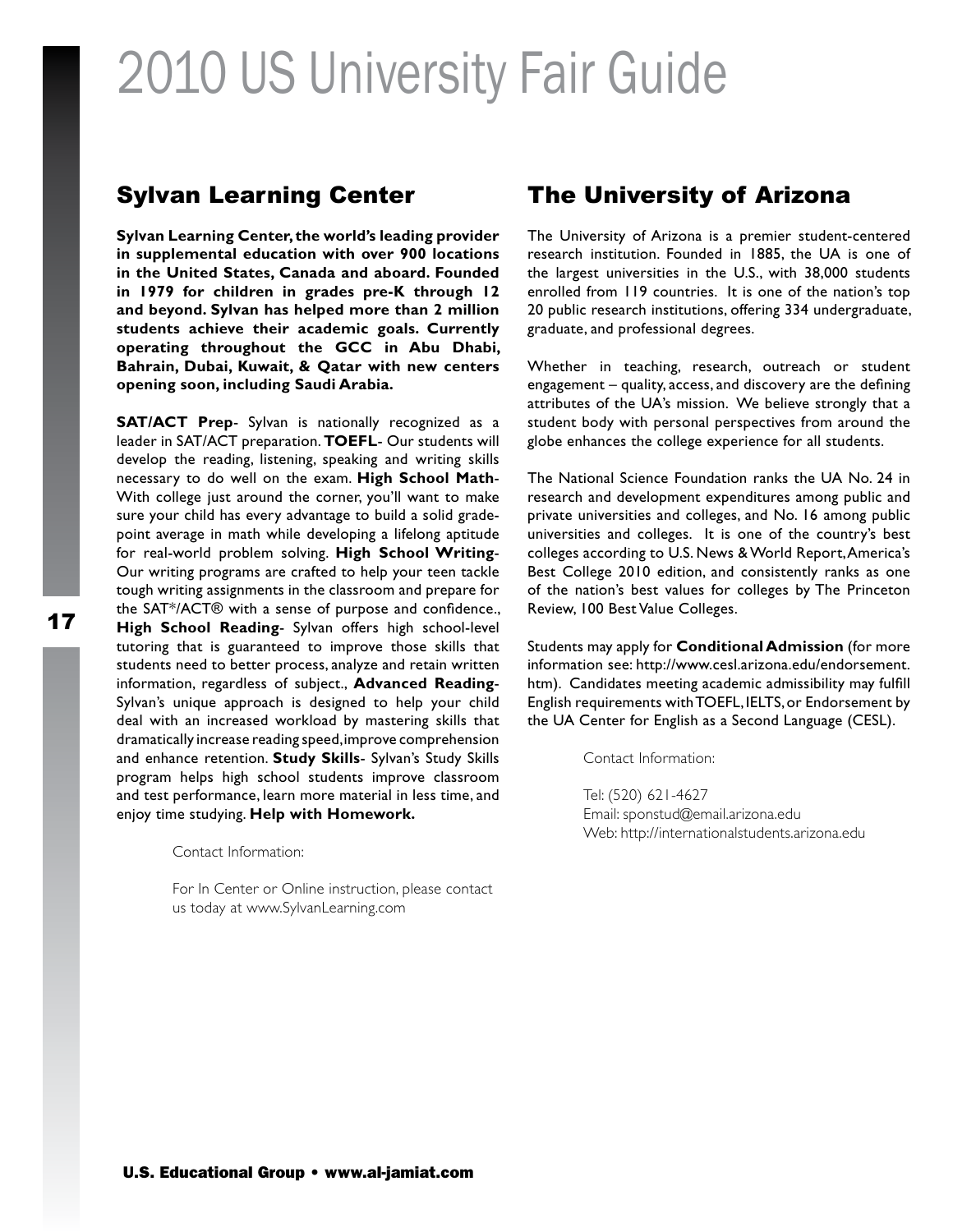#### Sylvan Learning Center

**Sylvan Learning Center, the world's leading provider in supplemental education with over 900 locations in the United States, Canada and aboard. Founded in 1979 for children in grades pre-K through 12 and beyond. Sylvan has helped more than 2 million students achieve their academic goals. Currently operating throughout the GCC in Abu Dhabi, Bahrain, Dubai, Kuwait, & Qatar with new centers opening soon, including Saudi Arabia.**

**SAT/ACT Prep-** Sylvan is nationally recognized as a leader in SAT/ACT preparation. **TOEFL**- Our students will develop the reading, listening, speaking and writing skills necessary to do well on the exam. **High School Math**-With college just around the corner, you'll want to make sure your child has every advantage to build a solid gradepoint average in math while developing a lifelong aptitude for real-world problem solving. **High School Writing**-Our writing programs are crafted to help your teen tackle tough writing assignments in the classroom and prepare for the SAT\*/ACT® with a sense of purpose and confidence., **High School Reading**- Sylvan offers high school-level tutoring that is guaranteed to improve those skills that students need to better process, analyze and retain written information, regardless of subject., **Advanced Reading**-Sylvan's unique approach is designed to help your child deal with an increased workload by mastering skills that dramatically increase reading speed, improve comprehension and enhance retention. **Study Skills**- Sylvan's Study Skills program helps high school students improve classroom and test performance, learn more material in less time, and enjoy time studying. **Help with Homework.**

Contact Information:

For In Center or Online instruction, please contact us today at www.SylvanLearning.com

### The University of Arizona

The University of Arizona is a premier student-centered research institution. Founded in 1885, the UA is one of the largest universities in the U.S., with 38,000 students enrolled from 119 countries. It is one of the nation's top 20 public research institutions, offering 334 undergraduate, graduate, and professional degrees.

Whether in teaching, research, outreach or student engagement – quality, access, and discovery are the defining attributes of the UA's mission. We believe strongly that a student body with personal perspectives from around the globe enhances the college experience for all students.

The National Science Foundation ranks the UA No. 24 in research and development expenditures among public and private universities and colleges, and No. 16 among public universities and colleges. It is one of the country's best colleges according to U.S. News & World Report, America's Best College 2010 edition, and consistently ranks as one of the nation's best values for colleges by The Princeton Review, 100 Best Value Colleges.

Students may apply for **Conditional Admission** (for more information see: http://www.cesl.arizona.edu/endorsement. htm). Candidates meeting academic admissibility may fulfill English requirements with TOEFL, IELTS, or Endorsement by the UA Center for English as a Second Language (CESL).

Contact Information:

Tel: (520) 621-4627 Email: sponstud@email.arizona.edu Web: http://internationalstudents.arizona.edu

17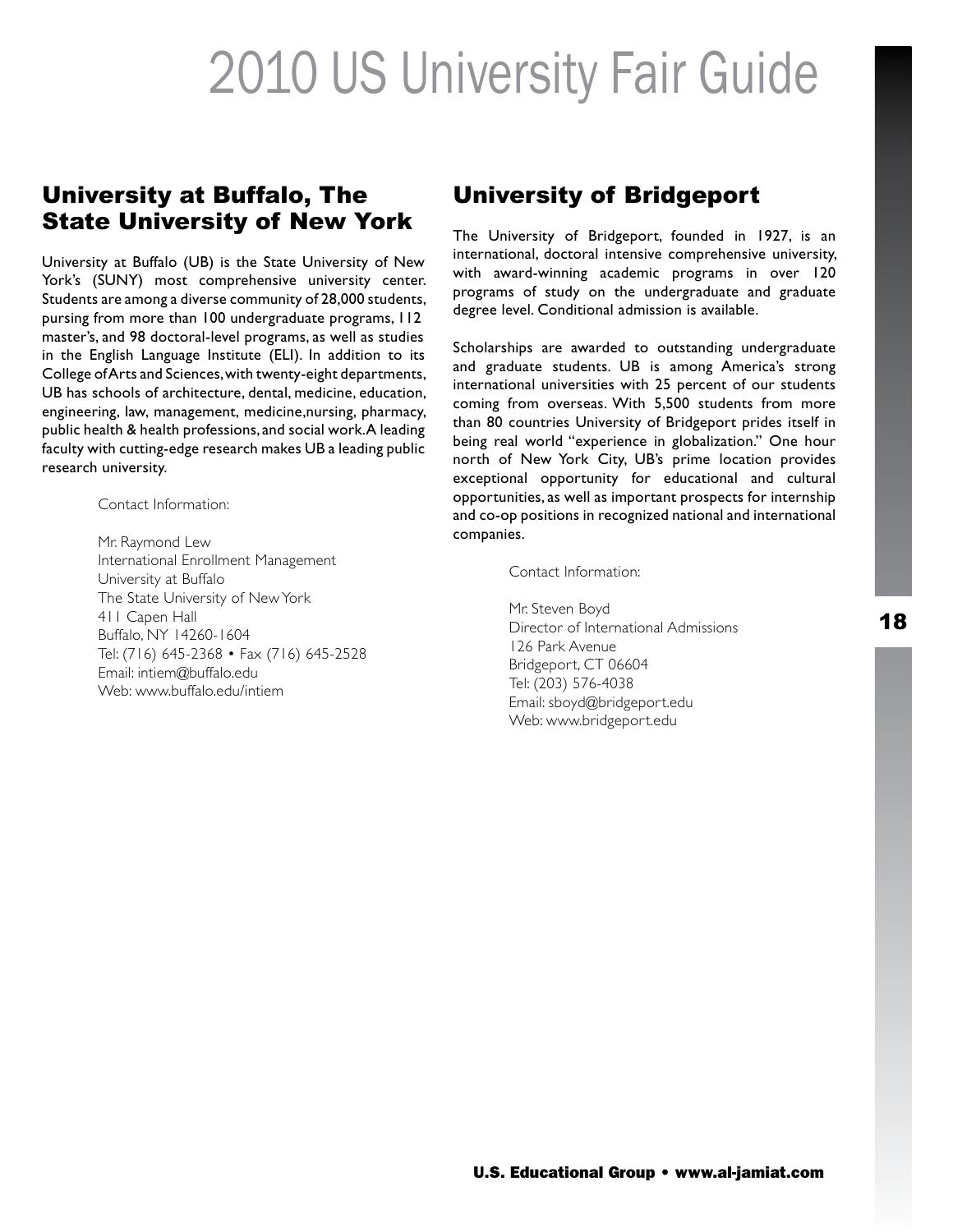### University at Buffalo, The State University of New York

University at Buffalo (UB) is the State University of New York's (SUNY) most comprehensive university center. Students are among a diverse community of 28,000 students, pursing from more than 100 undergraduate programs, 112 master's, and 98 doctoral-level programs, as well as studies in the English Language Institute (ELI). In addition to its College of Arts and Sciences, with twenty-eight departments, UB has schools of architecture, dental, medicine, education, engineering, law, management, medicine,nursing, pharmacy, public health & health professions, and social work. A leading faculty with cutting-edge research makes UB a leading public research university.

Contact Information:

Mr. Raymond Lew International Enrollment Management University at Buffalo The State University of New York 411 Capen Hall Buffalo, NY 14260-1604 Tel: (716) 645-2368 • Fax (716) 645-2528 Email: intiem@buffalo.edu Web: www.buffalo.edu/intiem

### University of Bridgeport

The University of Bridgeport, founded in 1927, is an international, doctoral intensive comprehensive university, with award-winning academic programs in over 120 programs of study on the undergraduate and graduate degree level. Conditional admission is available.

Scholarships are awarded to outstanding undergraduate and graduate students. UB is among America's strong international universities with 25 percent of our students coming from overseas. With 5,500 students from more than 80 countries University of Bridgeport prides itself in being real world "experience in globalization." One hour north of New York City, UB's prime location provides exceptional opportunity for educational and cultural opportunities, as well as important prospects for internship and co-op positions in recognized national and international companies.

Contact Information:

Mr. Steven Boyd Director of International Admissions 126 Park Avenue Bridgeport, CT 06604 Tel: (203) 576-4038 Email: sboyd@bridgeport.edu Web: www.bridgeport.edu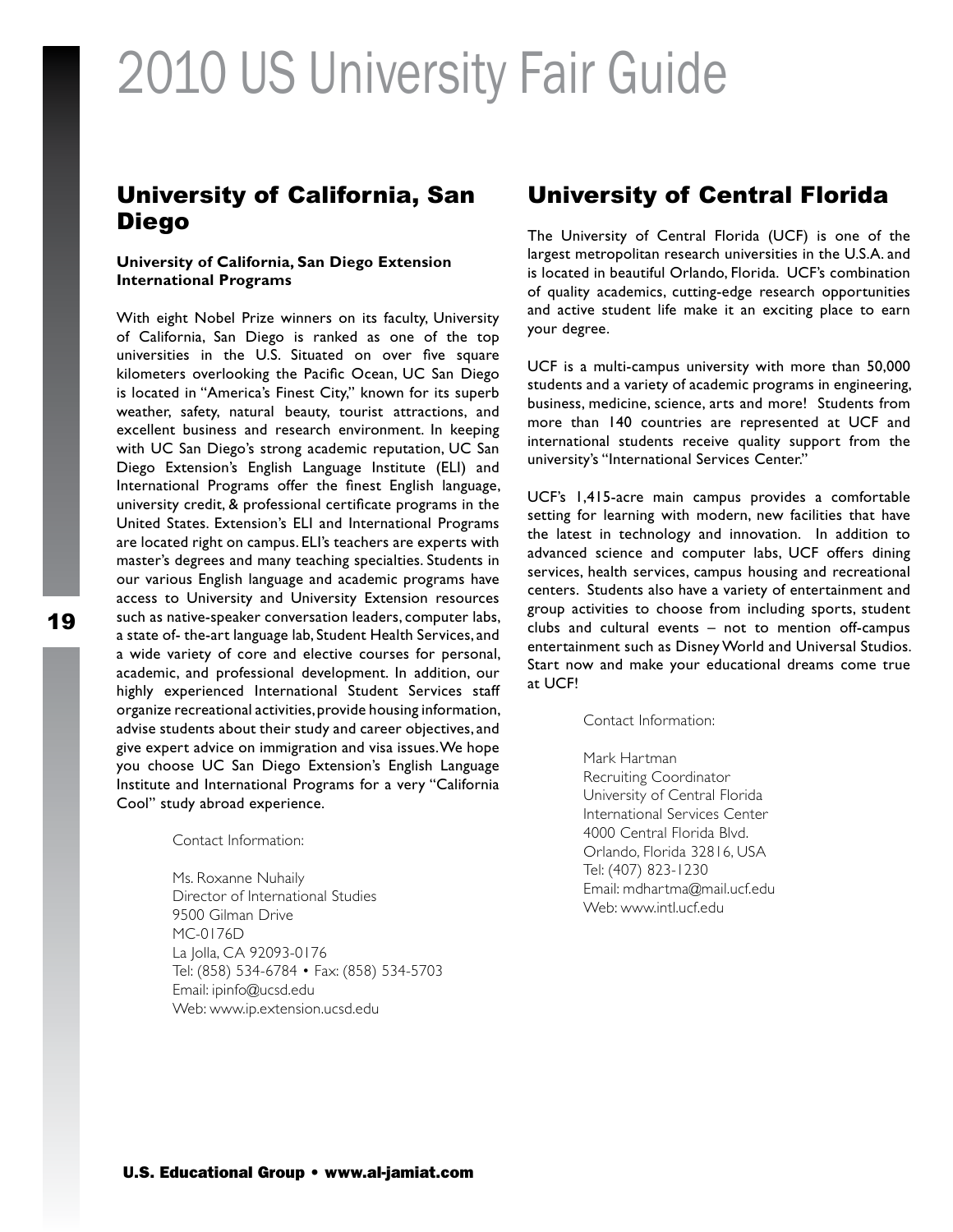### University of California, San Diego

#### **University of California, San Diego Extension International Programs**

With eight Nobel Prize winners on its faculty, University of California, San Diego is ranked as one of the top universities in the U.S. Situated on over five square kilometers overlooking the Pacific Ocean, UC San Diego is located in "America's Finest City," known for its superb weather, safety, natural beauty, tourist attractions, and excellent business and research environment. In keeping with UC San Diego's strong academic reputation, UC San Diego Extension's English Language Institute (ELI) and International Programs offer the finest English language, university credit, & professional certificate programs in the United States. Extension's ELI and International Programs are located right on campus. ELI's teachers are experts with master's degrees and many teaching specialties. Students in our various English language and academic programs have access to University and University Extension resources such as native-speaker conversation leaders, computer labs, a state of- the-art language lab, Student Health Services, and a wide variety of core and elective courses for personal, academic, and professional development. In addition, our highly experienced International Student Services staff organize recreational activities, provide housing information, advise students about their study and career objectives, and give expert advice on immigration and visa issues. We hope you choose UC San Diego Extension's English Language Institute and International Programs for a very "California Cool" study abroad experience.

Contact Information:

Ms. Roxanne Nuhaily Director of International Studies 9500 Gilman Drive MC-0176D La Jolla, CA 92093-0176 Tel: (858) 534-6784 • Fax: (858) 534-5703 Email: ipinfo@ucsd.edu Web: www.ip.extension.ucsd.edu

### University of Central Florida

The University of Central Florida (UCF) is one of the largest metropolitan research universities in the U.S.A. and is located in beautiful Orlando, Florida. UCF's combination of quality academics, cutting-edge research opportunities and active student life make it an exciting place to earn your degree.

UCF is a multi-campus university with more than 50,000 students and a variety of academic programs in engineering, business, medicine, science, arts and more! Students from more than 140 countries are represented at UCF and international students receive quality support from the university's "International Services Center."

UCF's 1,415-acre main campus provides a comfortable setting for learning with modern, new facilities that have the latest in technology and innovation. In addition to advanced science and computer labs, UCF offers dining services, health services, campus housing and recreational centers. Students also have a variety of entertainment and group activities to choose from including sports, student clubs and cultural events – not to mention off-campus entertainment such as Disney World and Universal Studios. Start now and make your educational dreams come true at UCF!

Contact Information:

Mark Hartman Recruiting Coordinator University of Central Florida International Services Center 4000 Central Florida Blvd. Orlando, Florida 32816, USA Tel: (407) 823-1230 Email: mdhartma@mail.ucf.edu Web: www.intl.ucf.edu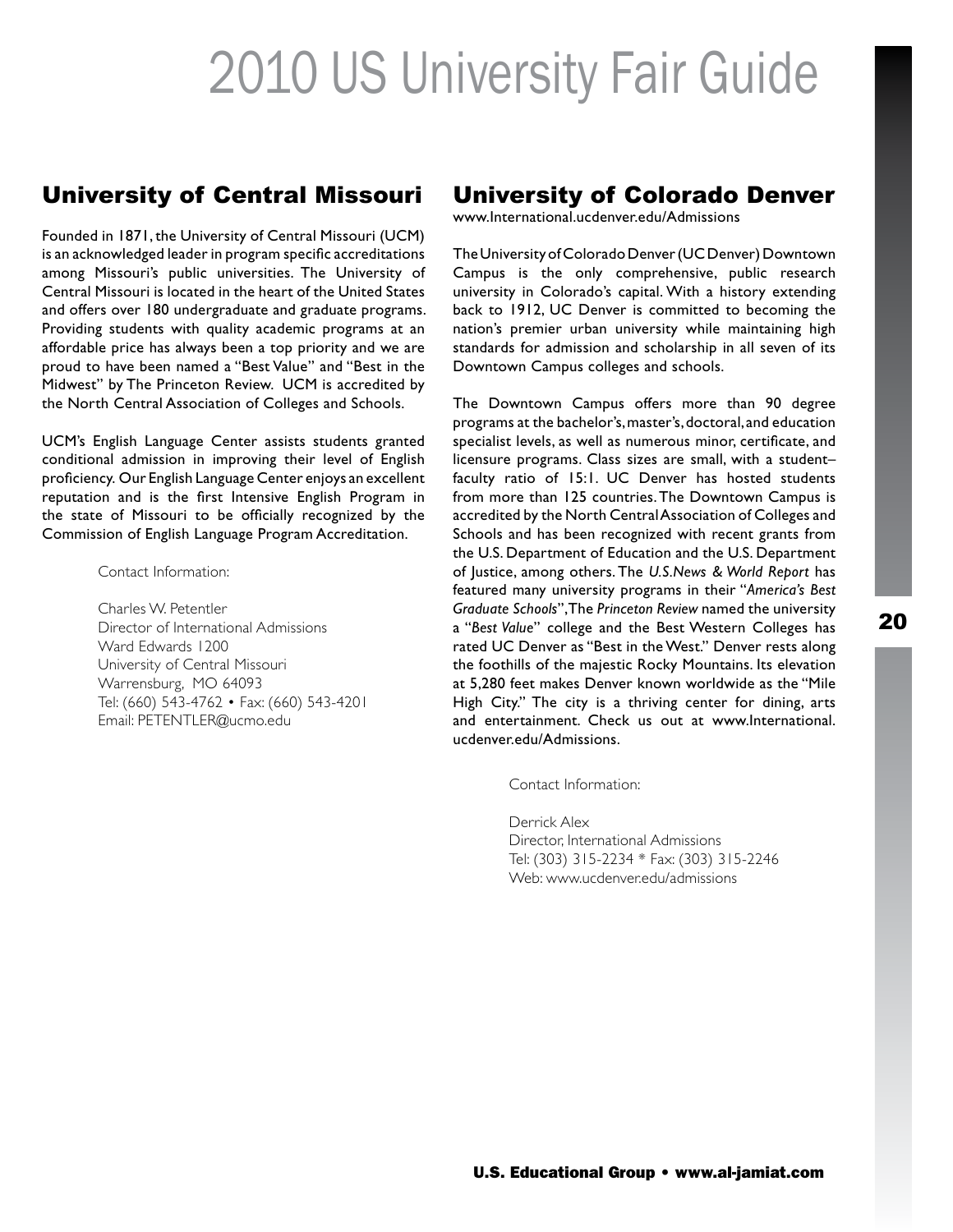### University of Central Missouri

Founded in 1871, the University of Central Missouri (UCM) is an acknowledged leader in program specific accreditations among Missouri's public universities. The University of Central Missouri is located in the heart of the United States and offers over 180 undergraduate and graduate programs. Providing students with quality academic programs at an affordable price has always been a top priority and we are proud to have been named a "Best Value" and "Best in the Midwest" by The Princeton Review. UCM is accredited by the North Central Association of Colleges and Schools.

UCM's English Language Center assists students granted conditional admission in improving their level of English proficiency. Our English Language Center enjoys an excellent reputation and is the first Intensive English Program in the state of Missouri to be officially recognized by the Commission of English Language Program Accreditation.

Contact Information:

Charles W. Petentler Director of International Admissions Ward Edwards 1200 University of Central Missouri Warrensburg, MO 64093 Tel: (660) 543-4762 • Fax: (660) 543-4201 Email: PETENTLER@ucmo.edu

### University of Colorado Denver

www.International.ucdenver.edu/Admissions

The University of Colorado Denver (UC Denver) Downtown Campus is the only comprehensive, public research university in Colorado's capital. With a history extending back to 1912, UC Denver is committed to becoming the nation's premier urban university while maintaining high standards for admission and scholarship in all seven of its Downtown Campus colleges and schools.

The Downtown Campus offers more than 90 degree programs at the bachelor's, master's, doctoral, and education specialist levels, as well as numerous minor, certificate, and licensure programs. Class sizes are small, with a student– faculty ratio of 15:1. UC Denver has hosted students from more than 125 countries. The Downtown Campus is accredited by the North Central Association of Colleges and Schools and has been recognized with recent grants from the U.S. Department of Education and the U.S. Department of Justice, among others. The *U.S.News & World Report* has featured many university programs in their "*America's Best Graduate Schools*", The *Princeton Review* named the university a "*Best Value*" college and the Best Western Colleges has rated UC Denver as "Best in the West." Denver rests along the foothills of the majestic Rocky Mountains. Its elevation at 5,280 feet makes Denver known worldwide as the "Mile High City." The city is a thriving center for dining, arts and entertainment. Check us out at www.International. ucdenver.edu/Admissions.

Contact Information:

Derrick Alex Director, International Admissions Tel: (303) 315-2234 \* Fax: (303) 315-2246 Web: www.ucdenver.edu/admissions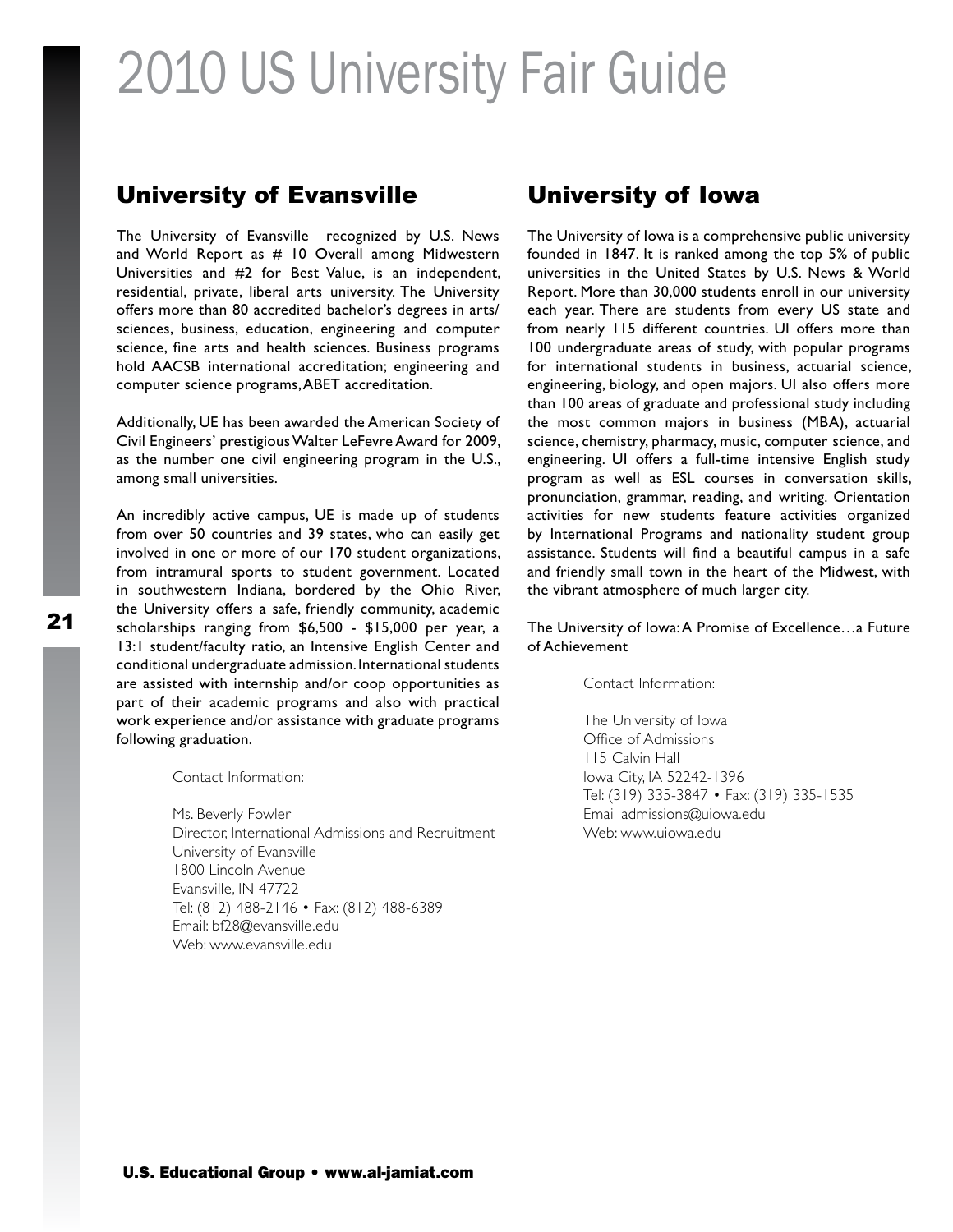#### University of Evansville

The University of Evansville recognized by U.S. News and World Report as  $#$  10 Overall among Midwestern Universities and #2 for Best Value, is an independent, residential, private, liberal arts university. The University offers more than 80 accredited bachelor's degrees in arts/ sciences, business, education, engineering and computer science, fine arts and health sciences. Business programs hold AACSB international accreditation; engineering and computer science programs, ABET accreditation.

Additionally, UE has been awarded the American Society of Civil Engineers' prestigious Walter LeFevre Award for 2009, as the number one civil engineering program in the U.S., among small universities.

An incredibly active campus, UE is made up of students from over 50 countries and 39 states, who can easily get involved in one or more of our 170 student organizations, from intramural sports to student government. Located in southwestern Indiana, bordered by the Ohio River, the University offers a safe, friendly community, academic scholarships ranging from \$6,500 - \$15,000 per year, a 13:1 student/faculty ratio, an Intensive English Center and conditional undergraduate admission. International students are assisted with internship and/or coop opportunities as part of their academic programs and also with practical work experience and/or assistance with graduate programs following graduation.

Contact Information:

Ms. Beverly Fowler Director, International Admissions and Recruitment University of Evansville 1800 Lincoln Avenue Evansville, IN 47722 Tel: (812) 488-2146 • Fax: (812) 488-6389 Email: bf28@evansville.edu Web: www.evansville.edu

### University of Iowa

The University of Iowa is a comprehensive public university founded in 1847. It is ranked among the top 5% of public universities in the United States by U.S. News & World Report. More than 30,000 students enroll in our university each year. There are students from every US state and from nearly 115 different countries. UI offers more than 100 undergraduate areas of study, with popular programs for international students in business, actuarial science, engineering, biology, and open majors. UI also offers more than 100 areas of graduate and professional study including the most common majors in business (MBA), actuarial science, chemistry, pharmacy, music, computer science, and engineering. UI offers a full-time intensive English study program as well as ESL courses in conversation skills, pronunciation, grammar, reading, and writing. Orientation activities for new students feature activities organized by International Programs and nationality student group assistance. Students will find a beautiful campus in a safe and friendly small town in the heart of the Midwest, with the vibrant atmosphere of much larger city.

#### The University of Iowa: A Promise of Excellence…a Future of Achievement

Contact Information:

The University of Iowa Office of Admissions 115 Calvin Hall Iowa City, IA 52242-1396 Tel: (319) 335-3847 • Fax: (319) 335-1535 Email admissions@uiowa.edu Web: www.uiowa.edu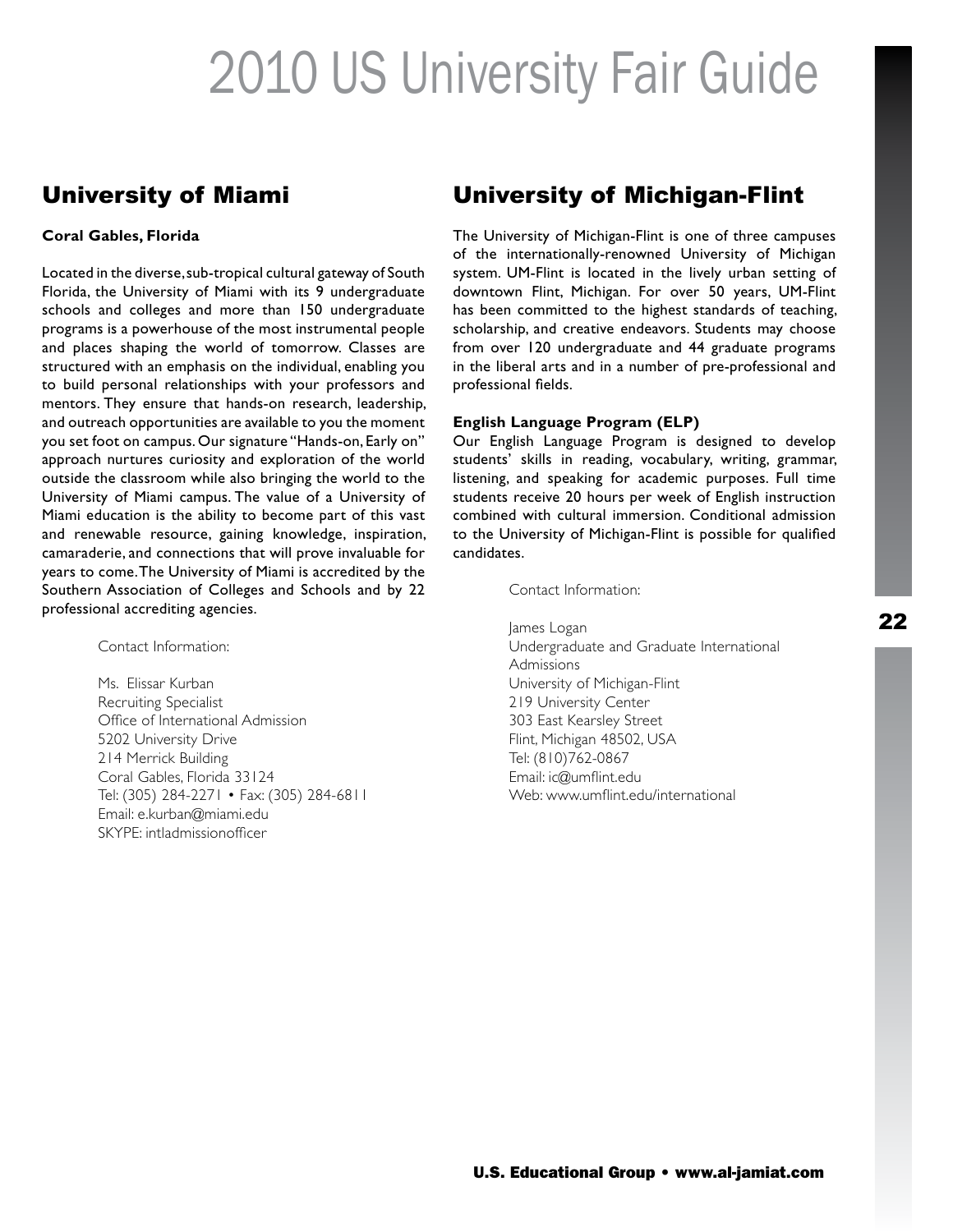### University of Miami

#### **Coral Gables, Florida**

Located in the diverse, sub-tropical cultural gateway of South Florida, the University of Miami with its 9 undergraduate schools and colleges and more than 150 undergraduate programs is a powerhouse of the most instrumental people and places shaping the world of tomorrow. Classes are structured with an emphasis on the individual, enabling you to build personal relationships with your professors and mentors. They ensure that hands-on research, leadership, and outreach opportunities are available to you the moment you set foot on campus. Our signature "Hands-on, Early on" approach nurtures curiosity and exploration of the world outside the classroom while also bringing the world to the University of Miami campus. The value of a University of Miami education is the ability to become part of this vast and renewable resource, gaining knowledge, inspiration, camaraderie, and connections that will prove invaluable for years to come. The University of Miami is accredited by the Southern Association of Colleges and Schools and by 22 professional accrediting agencies.

Contact Information:

Ms. Elissar Kurban Recruiting Specialist Office of International Admission 5202 University Drive 214 Merrick Building Coral Gables, Florida 33124 Tel: (305) 284-2271 • Fax: (305) 284-6811 Email: e.kurban@miami.edu SKYPE: intladmissionofficer

### University of Michigan-Flint

The University of Michigan-Flint is one of three campuses of the internationally-renowned University of Michigan system. UM-Flint is located in the lively urban setting of downtown Flint, Michigan. For over 50 years, UM-Flint has been committed to the highest standards of teaching, scholarship, and creative endeavors. Students may choose from over 120 undergraduate and 44 graduate programs in the liberal arts and in a number of pre-professional and professional fields.

#### **English Language Program (ELP)**

Our English Language Program is designed to develop students' skills in reading, vocabulary, writing, grammar, listening, and speaking for academic purposes. Full time students receive 20 hours per week of English instruction combined with cultural immersion. Conditional admission to the University of Michigan-Flint is possible for qualified candidates.

Contact Information:

James Logan Undergraduate and Graduate International **Admissions** University of Michigan-Flint 219 University Center 303 East Kearsley Street Flint, Michigan 48502, USA Tel: (810)762-0867 Email: ic@umflint.edu Web: www.umflint.edu/international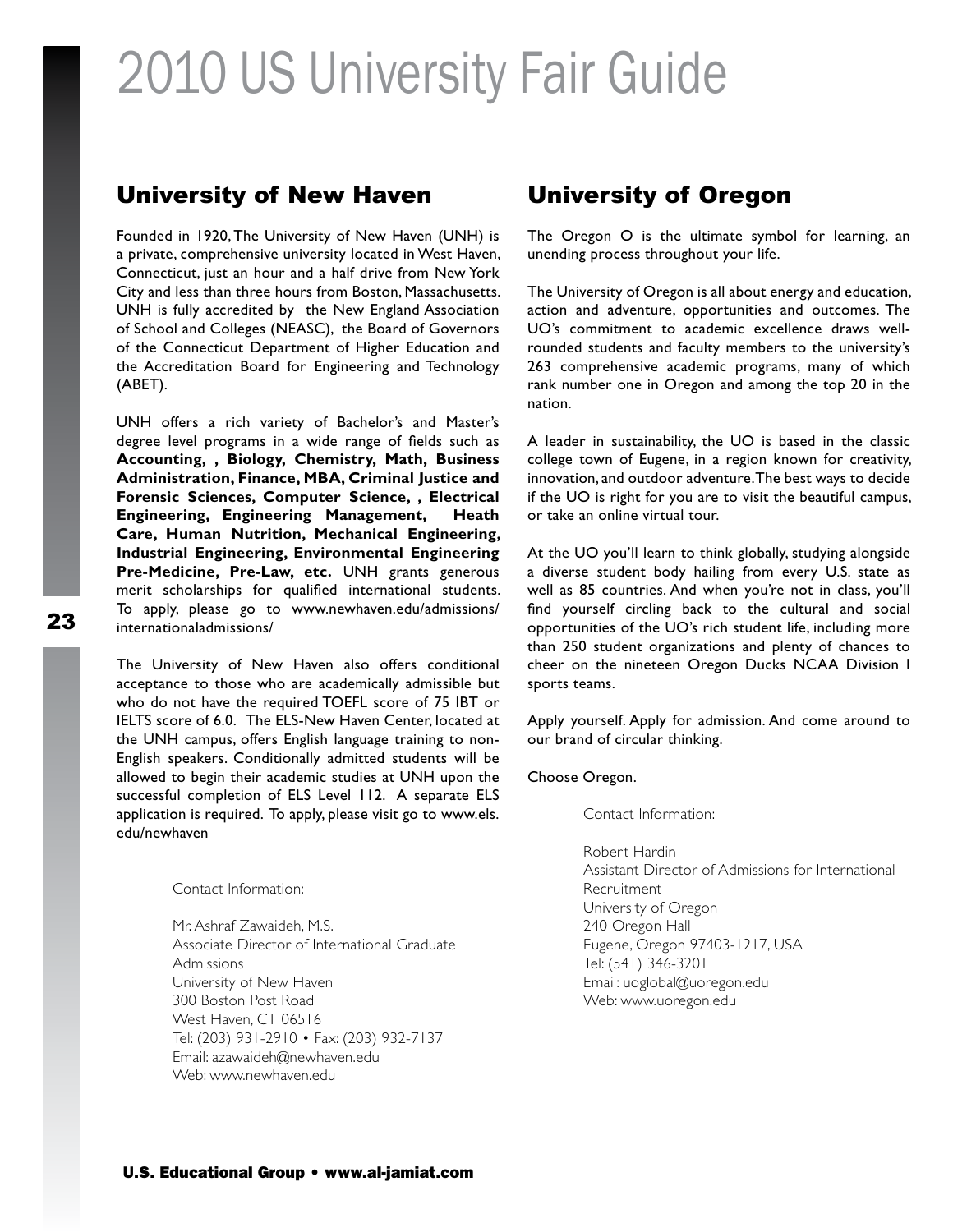#### University of New Haven

Founded in 1920, The University of New Haven (UNH) is a private, comprehensive university located in West Haven, Connecticut, just an hour and a half drive from New York City and less than three hours from Boston, Massachusetts. UNH is fully accredited by the New England Association of School and Colleges (NEASC), the Board of Governors of the Connecticut Department of Higher Education and the Accreditation Board for Engineering and Technology (ABET).

UNH offers a rich variety of Bachelor's and Master's degree level programs in a wide range of fields such as **Accounting, , Biology, Chemistry, Math, Business Administration, Finance, MBA, Criminal Justice and Forensic Sciences, Computer Science, , Electrical Engineering, Engineering Management, Heath Care, Human Nutrition, Mechanical Engineering, Industrial Engineering, Environmental Engineering Pre-Medicine, Pre-Law, etc.** UNH grants generous merit scholarships for qualified international students. To apply, please go to www.newhaven.edu/admissions/ internationaladmissions/

The University of New Haven also offers conditional acceptance to those who are academically admissible but who do not have the required TOEFL score of 75 IBT or IELTS score of 6.0. The ELS-New Haven Center, located at the UNH campus, offers English language training to non-English speakers. Conditionally admitted students will be allowed to begin their academic studies at UNH upon the successful completion of ELS Level 112. A separate ELS application is required. To apply, please visit go to www.els. edu/newhaven

#### Contact Information:

Mr. Ashraf Zawaideh, M.S. Associate Director of International Graduate Admissions University of New Haven 300 Boston Post Road West Haven, CT 06516 Tel: (203) 931-2910 • Fax: (203) 932-7137 Email: azawaideh@newhaven.edu Web: www.newhaven.edu

### University of Oregon

The Oregon O is the ultimate symbol for learning, an unending process throughout your life.

The University of Oregon is all about energy and education, action and adventure, opportunities and outcomes. The UO's commitment to academic excellence draws wellrounded students and faculty members to the university's 263 comprehensive academic programs, many of which rank number one in Oregon and among the top 20 in the nation.

A leader in sustainability, the UO is based in the classic college town of Eugene, in a region known for creativity, innovation, and outdoor adventure. The best ways to decide if the UO is right for you are to visit the beautiful campus, or take an online virtual tour.

At the UO you'll learn to think globally, studying alongside a diverse student body hailing from every U.S. state as well as 85 countries. And when you're not in class, you'll find yourself circling back to the cultural and social opportunities of the UO's rich student life, including more than 250 student organizations and plenty of chances to cheer on the nineteen Oregon Ducks NCAA Division I sports teams.

Apply yourself. Apply for admission. And come around to our brand of circular thinking.

Choose Oregon.

Contact Information:

Robert Hardin Assistant Director of Admissions for International Recruitment University of Oregon 240 Oregon Hall Eugene, Oregon 97403-1217, USA Tel: (541) 346-3201 Email: uoglobal@uoregon.edu Web: www.uoregon.edu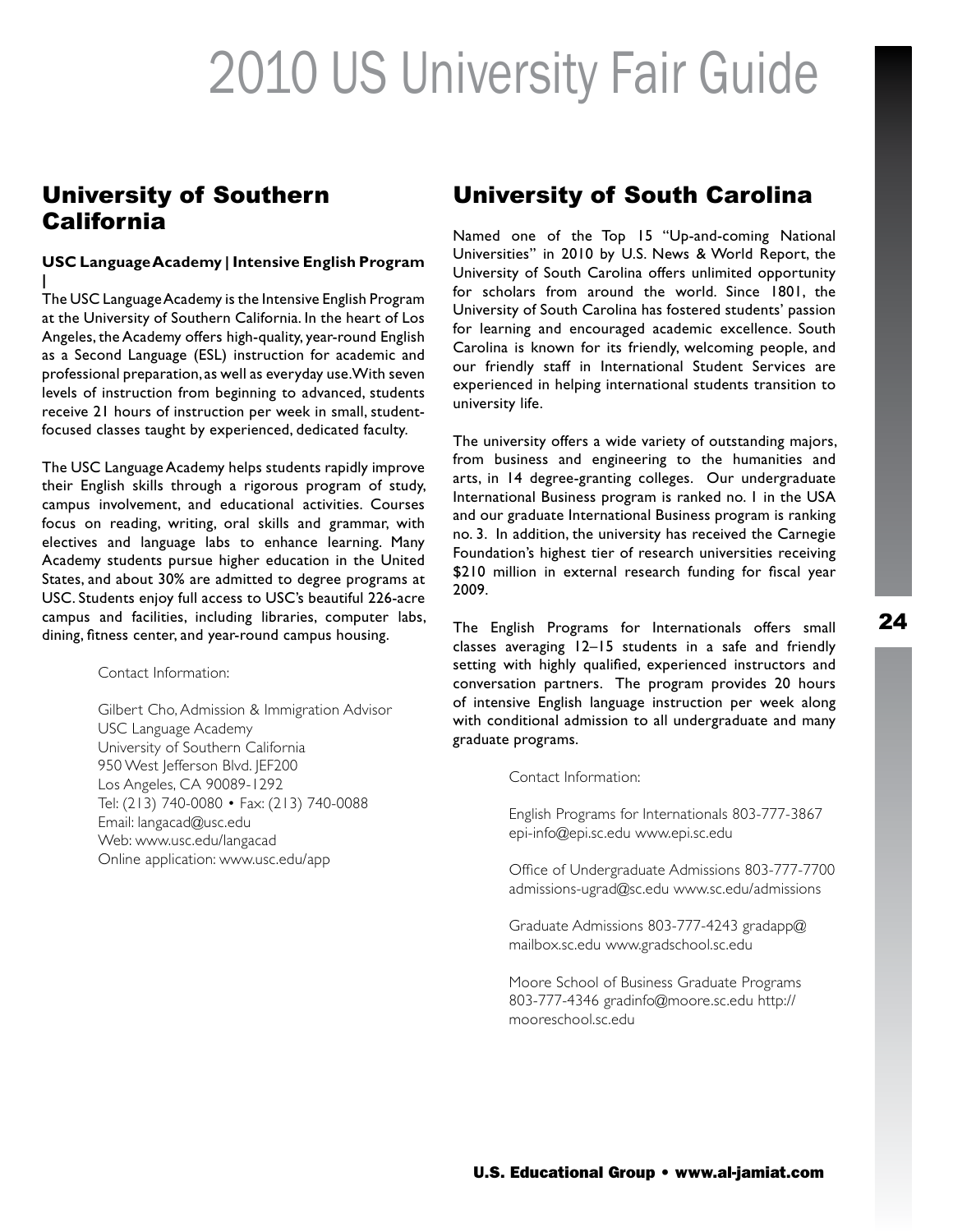### University of Southern California

#### **USC Language Academy | Intensive English Program |**

The USC Language Academy is the Intensive English Program at the University of Southern California. In the heart of Los Angeles, the Academy offers high-quality, year-round English as a Second Language (ESL) instruction for academic and professional preparation, as well as everyday use. With seven levels of instruction from beginning to advanced, students receive 21 hours of instruction per week in small, studentfocused classes taught by experienced, dedicated faculty.

The USC Language Academy helps students rapidly improve their English skills through a rigorous program of study, campus involvement, and educational activities. Courses focus on reading, writing, oral skills and grammar, with electives and language labs to enhance learning. Many Academy students pursue higher education in the United States, and about 30% are admitted to degree programs at USC. Students enjoy full access to USC's beautiful 226-acre campus and facilities, including libraries, computer labs, dining, fitness center, and year-round campus housing.

Contact Information:

Gilbert Cho, Admission & Immigration Advisor USC Language Academy University of Southern California 950 West Jefferson Blvd. JEF200 Los Angeles, CA 90089-1292 Tel: (213) 740-0080 • Fax: (213) 740-0088 Email: langacad@usc.edu Web: www.usc.edu/langacad Online application: www.usc.edu/app

### University of South Carolina

Named one of the Top 15 "Up-and-coming National Universities" in 2010 by U.S. News & World Report, the University of South Carolina offers unlimited opportunity for scholars from around the world. Since 1801, the University of South Carolina has fostered students' passion for learning and encouraged academic excellence. South Carolina is known for its friendly, welcoming people, and our friendly staff in International Student Services are experienced in helping international students transition to university life.

The university offers a wide variety of outstanding majors, from business and engineering to the humanities and arts, in 14 degree-granting colleges. Our undergraduate International Business program is ranked no. 1 in the USA and our graduate International Business program is ranking no. 3. In addition, the university has received the Carnegie Foundation's highest tier of research universities receiving \$210 million in external research funding for fiscal year 2009.

The English Programs for Internationals offers small classes averaging 12–15 students in a safe and friendly setting with highly qualified, experienced instructors and conversation partners. The program provides 20 hours of intensive English language instruction per week along with conditional admission to all undergraduate and many graduate programs.

Contact Information:

English Programs for Internationals 803-777-3867 epi-info@epi.sc.edu www.epi.sc.edu

Office of Undergraduate Admissions 803-777-7700 admissions-ugrad@sc.edu www.sc.edu/admissions

Graduate Admissions 803-777-4243 gradapp@ mailbox.sc.edu www.gradschool.sc.edu

Moore School of Business Graduate Programs 803-777-4346 gradinfo@moore.sc.edu http:// mooreschool.sc.edu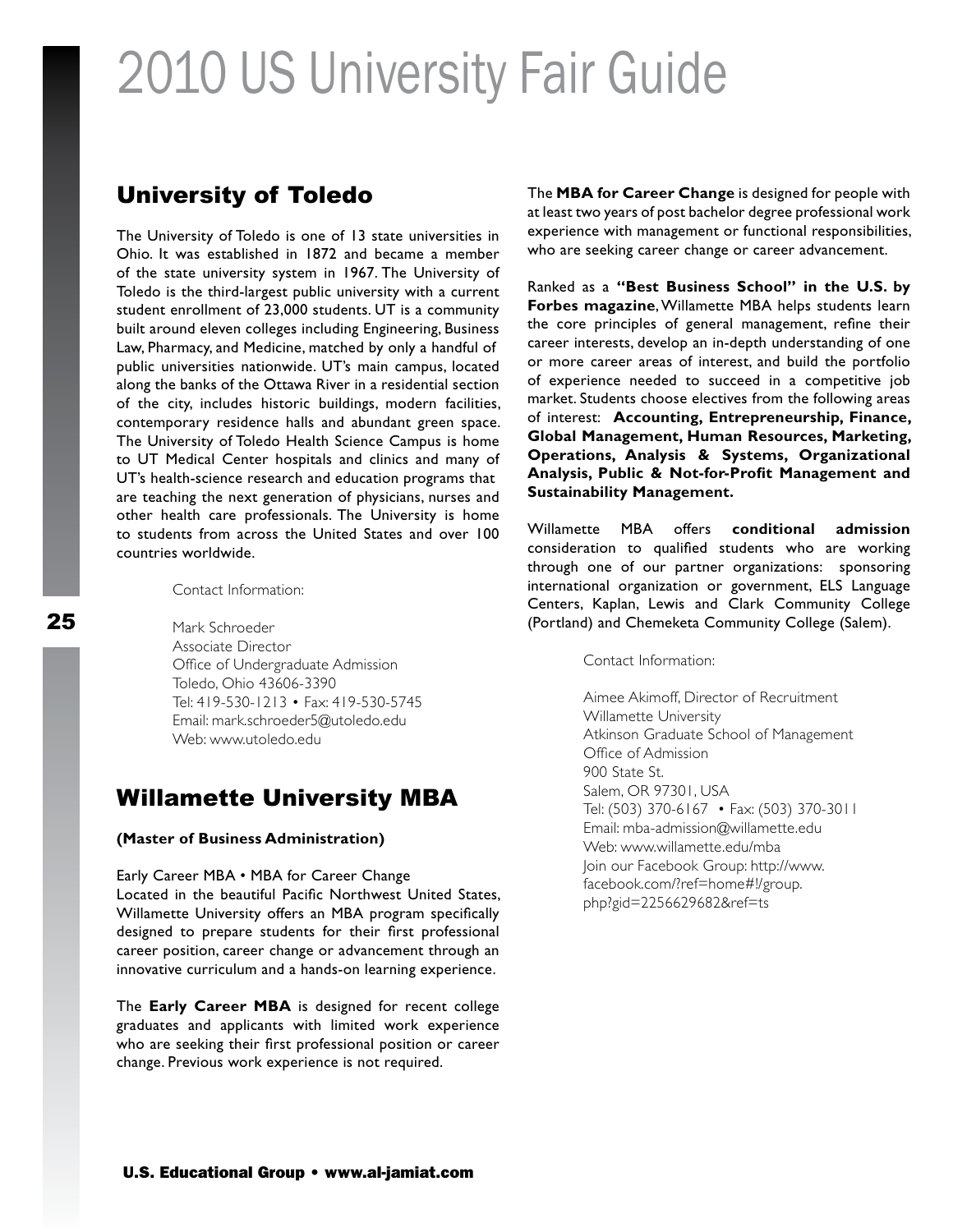### University of Toledo

The University of Toledo is one of 13 state universities in Ohio. It was established in 1872 and became a member of the state university system in 1967. The University of Toledo is the third-largest public university with a current student enrollment of 23,000 students. UT is a community built around eleven colleges including Engineering, Business Law, Pharmacy, and Medicine, matched by only a handful of public universities nationwide. UT's main campus, located along the banks of the Ottawa River in a residential section of the city, includes historic buildings, modern facilities, contemporary residence halls and abundant green space. The University of Toledo Health Science Campus is home to UT Medical Center hospitals and clinics and many of UT's health-science research and education programs that are teaching the next generation of physicians, nurses and other health care professionals. The University is home to students from across the United States and over 100 countries worldwide.

Contact Information:

Mark Schroeder Associate Director Office of Undergraduate Admission Toledo, Ohio 43606-3390 Tel: 419-530-1213 • Fax: 419-530-5745 Email: mark.schroeder5@utoledo.edu Web: www.utoledo.edu

### Willamette University MBA

#### **(Master of Business Administration)**

Early Career MBA • MBA for Career Change Located in the beautiful Pacific Northwest United States, Willamette University offers an MBA program specifically designed to prepare students for their first professional career position, career change or advancement through an innovative curriculum and a hands-on learning experience.

The **Early Career MBA** is designed for recent college graduates and applicants with limited work experience who are seeking their first professional position or career change. Previous work experience is not required.

The **MBA for Career Change** is designed for people with at least two years of post bachelor degree professional work experience with management or functional responsibilities, who are seeking career change or career advancement.

Ranked as a **"Best Business School" in the U.S. by Forbes magazine**, Willamette MBA helps students learn the core principles of general management, refine their career interests, develop an in-depth understanding of one or more career areas of interest, and build the portfolio of experience needed to succeed in a competitive job market. Students choose electives from the following areas of interest: **Accounting, Entrepreneurship, Finance, Global Management, Human Resources, Marketing, Operations, Analysis & Systems, Organizational Analysis, Public & Not-for-Profit Management and Sustainability Management.**

Willamette MBA offers **conditional admission**  consideration to qualified students who are working through one of our partner organizations: sponsoring international organization or government, ELS Language Centers, Kaplan, Lewis and Clark Community College (Portland) and Chemeketa Community College (Salem).

Contact Information:

Aimee Akimoff, Director of Recruitment Willamette University Atkinson Graduate School of Management Office of Admission 900 State St. Salem, OR 97301, USA Tel: (503) 370-6167 • Fax: (503) 370-3011 Email: mba-admission@willamette.edu Web: www.willamette.edu/mba Join our Facebook Group: http://www. facebook.com/?ref=home#!/group. php?gid=2256629682&ref=ts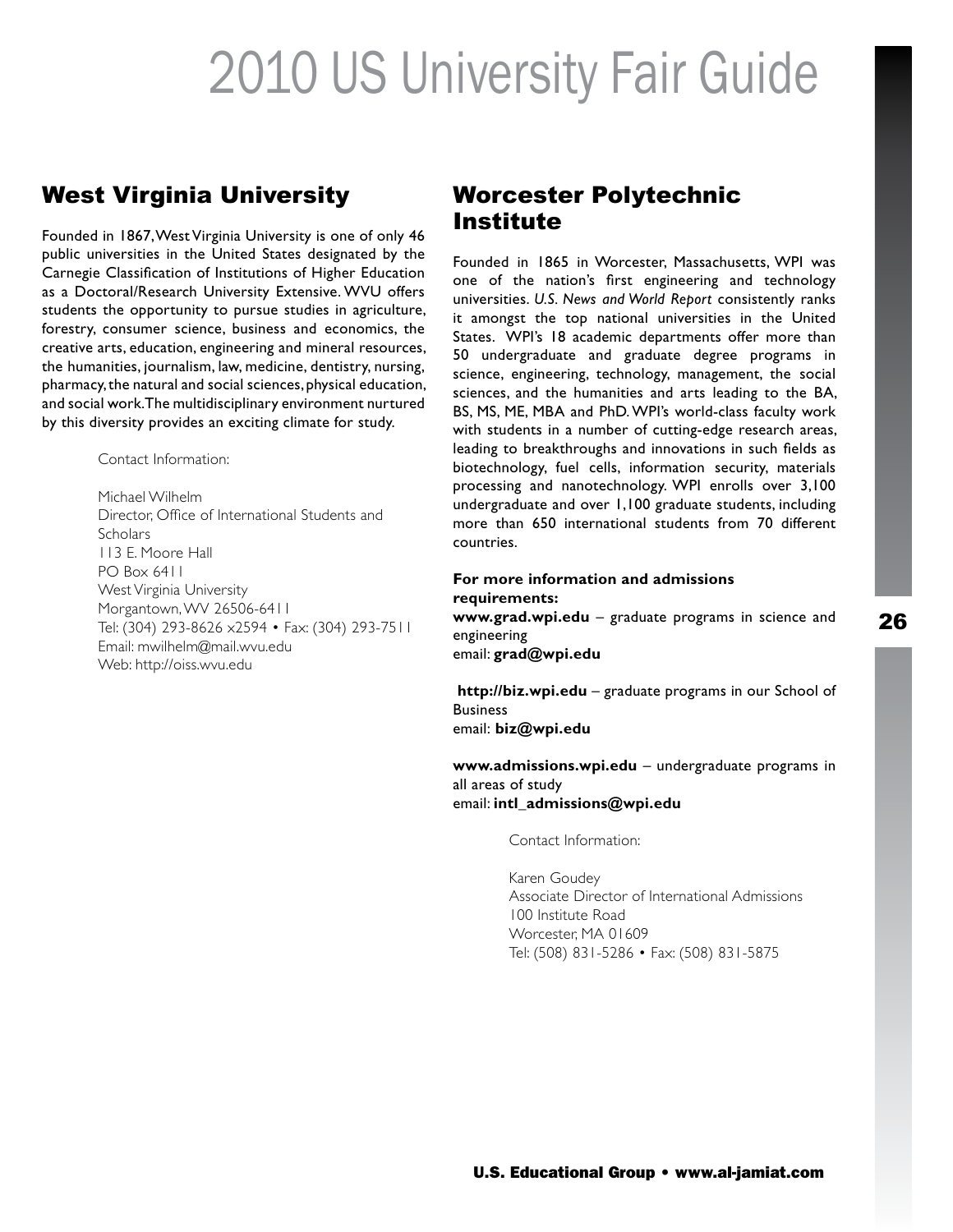### West Virginia University

Founded in 1867, West Virginia University is one of only 46 public universities in the United States designated by the Carnegie Classification of Institutions of Higher Education as a Doctoral/Research University Extensive. WVU offers students the opportunity to pursue studies in agriculture, forestry, consumer science, business and economics, the creative arts, education, engineering and mineral resources, the humanities, journalism, law, medicine, dentistry, nursing, pharmacy, the natural and social sciences, physical education, and social work. The multidisciplinary environment nurtured by this diversity provides an exciting climate for study.

Contact Information:

Michael Wilhelm Director, Office of International Students and **Scholars** 113 E. Moore Hall PO Box 6411 West Virginia University Morgantown, WV 26506-6411 Tel: (304) 293-8626 x2594 • Fax: (304) 293-7511 Email: mwilhelm@mail.wvu.edu Web: http://oiss.wvu.edu

### Worcester Polytechnic Institute

Founded in 1865 in Worcester, Massachusetts, WPI was one of the nation's first engineering and technology universities. *U.S. News and World Report* consistently ranks it amongst the top national universities in the United States. WPI's 18 academic departments offer more than 50 undergraduate and graduate degree programs in science, engineering, technology, management, the social sciences, and the humanities and arts leading to the BA, BS, MS, ME, MBA and PhD. WPI's world-class faculty work with students in a number of cutting-edge research areas, leading to breakthroughs and innovations in such fields as biotechnology, fuel cells, information security, materials processing and nanotechnology. WPI enrolls over 3,100 undergraduate and over 1,100 graduate students, including more than 650 international students from 70 different countries.

#### **For more information and admissions requirements:**

**www.grad.wpi.edu** – graduate programs in science and engineering email: **grad@wpi.edu** 

 **http://biz.wpi.edu** – graduate programs in our School of **Business** email: **biz@wpi.edu** 

**www.admissions.wpi.edu** – undergraduate programs in all areas of study email: **intl\_admissions@wpi.edu** 

Contact Information:

Karen Goudey Associate Director of International Admissions 100 Institute Road Worcester, MA 01609 Tel: (508) 831-5286 • Fax: (508) 831-5875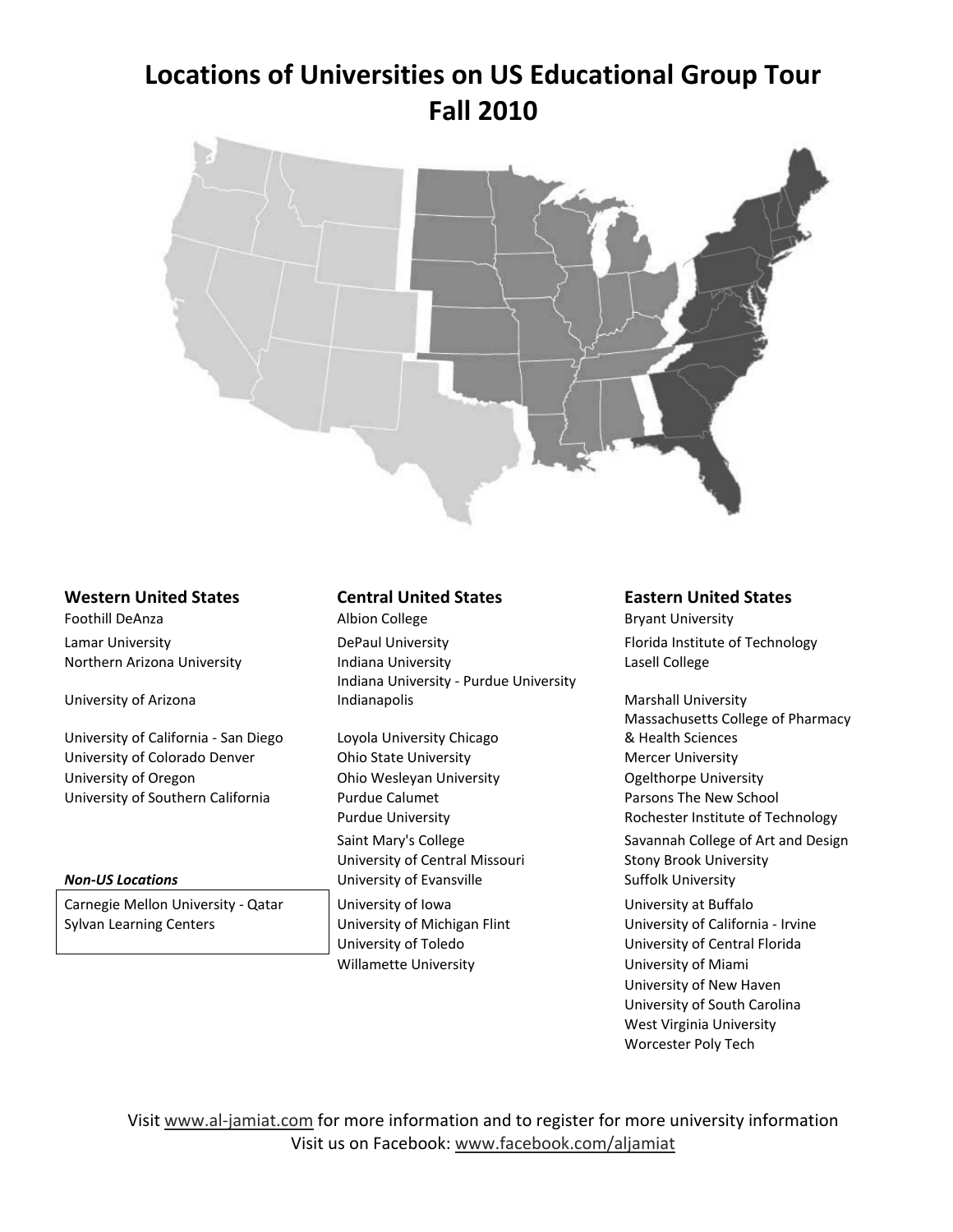### **Locations of Universities on US Educational Group Tour Fall 2010**



#### **Western United States Central United States Eastern United States**

University of Arizona

University of California - San Diego Loyola University Chicago University of Colorado Denver **Ohio State University Coloration Contains Coloration** Mercer University University of Oregon **Ohio Wesleyan University Calculation** Ogelthorpe University University of Southern California **Purdue Calumet** Parsons The New School Parsons The New School

Carnegie Mellon University - Qatar | University of Iowa | University at Buffalo Sylvan Learning Centers **Exercise Sylvan Learning Centers** University of Michigan Flint University Of California - Irvine

Foothill DeAnza **Britannia** Albion College **Britannia Britannia Bryant University** Lamar University **Example 20 Inc.** DePaul University **Fixage Controller Controller Florida** Institute of Technology Northern Arizona University **Indiana University Indiana University** Lasell College Indiana University - Purdue University Indianapolis **Marshall University** 

University of Central Missouri Stony Brook University **Non-US Locations Non-US Locations University of Evansville Suffolk University** University of Toledo University of Central Florida Willamette University **Nami** University of Miami

Massachusetts College of Pharmacy & Health Sciences Purdue University **Rochester Institute of Technology** Saint Mary's College Savannah College of Art and Design

University of New Haven University of South Carolina West Virginia University Worcester Poly Tech

Visit www.al-jamiat.com for more information and to register for more university information Visit us on Facebook: www.facebook.com/aljamiat